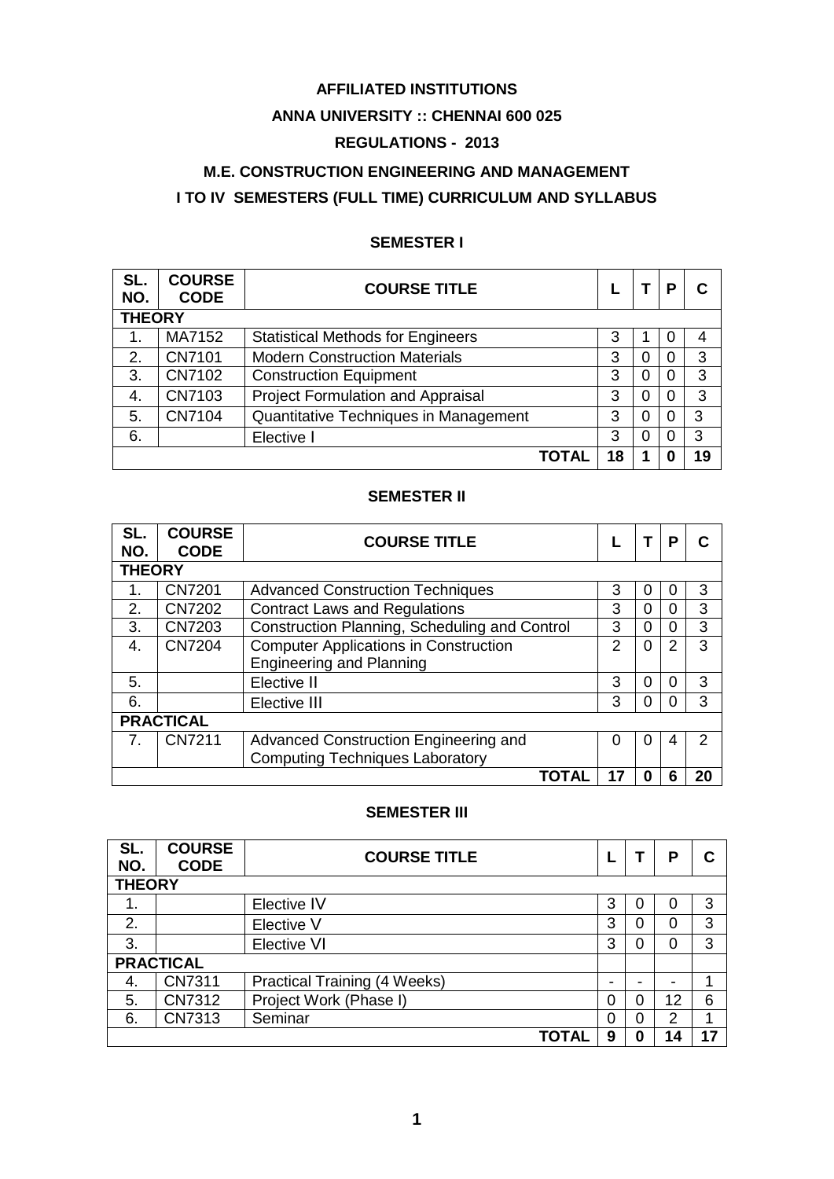### **AFFILIATED INSTITUTIONS**

### **ANNA UNIVERSITY :: CHENNAI 600 025**

### **REGULATIONS - 2013**

### **M.E. CONSTRUCTION ENGINEERING AND MANAGEMENT**

### **I TO IV SEMESTERS (FULL TIME) CURRICULUM AND SYLLABUS**

### **SEMESTER I**

| SL.<br>NO.    | <b>COURSE</b><br><b>CODE</b> | <b>COURSE TITLE</b>                      |    |          | Р |    |  |
|---------------|------------------------------|------------------------------------------|----|----------|---|----|--|
| <b>THEORY</b> |                              |                                          |    |          |   |    |  |
| 1.            | MA7152                       | <b>Statistical Methods for Engineers</b> | 3  |          | 0 | 4  |  |
| 2.            | CN7101                       | <b>Modern Construction Materials</b>     | 3  | 0        | 0 | 3  |  |
| 3.            | CN7102                       | <b>Construction Equipment</b>            | 3  | $\Omega$ | 0 | 3  |  |
| 4.            | CN7103                       | <b>Project Formulation and Appraisal</b> | 3  | 0        | 0 | 3  |  |
| 5.            | CN7104                       | Quantitative Techniques in Management    | 3  | 0        | 0 | 3  |  |
| 6.            |                              | Elective I                               | 3  | 0        | 0 | 3  |  |
|               |                              | ΤΟΤΑΙ                                    | 18 |          |   | 19 |  |

### **SEMESTER II**

| SL.<br>NO.       | <b>COURSE</b><br><b>CODE</b> | <b>COURSE TITLE</b>                           |   |   | P |    |  |
|------------------|------------------------------|-----------------------------------------------|---|---|---|----|--|
| <b>THEORY</b>    |                              |                                               |   |   |   |    |  |
| 1.               | <b>CN7201</b>                | <b>Advanced Construction Techniques</b>       | 3 | 0 |   | 3  |  |
| 2.               | <b>CN7202</b>                | <b>Contract Laws and Regulations</b>          | 3 | 0 |   | 3  |  |
| 3.               | <b>CN7203</b>                | Construction Planning, Scheduling and Control | 3 | 0 |   | 3  |  |
| 4.               | <b>CN7204</b>                | <b>Computer Applications in Construction</b>  | 2 | 0 | 2 | 3  |  |
|                  |                              | <b>Engineering and Planning</b>               |   |   |   |    |  |
| 5.               |                              | Elective II                                   | 3 | 0 |   | 3  |  |
| 6.               |                              | Elective III                                  | 3 | 0 |   | 3  |  |
| <b>PRACTICAL</b> |                              |                                               |   |   |   |    |  |
| 7.               | <b>CN7211</b>                | Advanced Construction Engineering and         | O | O | 4 | 2  |  |
|                  |                              | <b>Computing Techniques Laboratory</b>        |   |   |   |    |  |
| ΤΟΤΑΙ            |                              |                                               |   | 0 | 6 | 20 |  |

### **SEMESTER III**

| SL.<br>NO.       | <b>COURSE</b><br><b>CODE</b> | <b>COURSE TITLE</b>                 |   |   | Р                        |    |  |
|------------------|------------------------------|-------------------------------------|---|---|--------------------------|----|--|
| <b>THEORY</b>    |                              |                                     |   |   |                          |    |  |
| 1.               |                              | Elective IV                         | 3 | O | O                        | 3  |  |
| 2.               |                              | Elective V                          | 3 | 0 | 0                        | 3  |  |
| 3.               |                              | <b>Elective VI</b>                  | 3 | 0 | 0                        | 3  |  |
| <b>PRACTICAL</b> |                              |                                     |   |   |                          |    |  |
| 4.               | CN7311                       | <b>Practical Training (4 Weeks)</b> | - | - | $\overline{\phantom{0}}$ |    |  |
| 5.               | <b>CN7312</b>                | Project Work (Phase I)              | 0 | 0 | 12                       | 6  |  |
| 6.               | <b>CN7313</b>                | Seminar                             | 0 | 0 | 2                        | 4  |  |
|                  |                              | TOTAI                               | 9 | 0 | 14                       | 17 |  |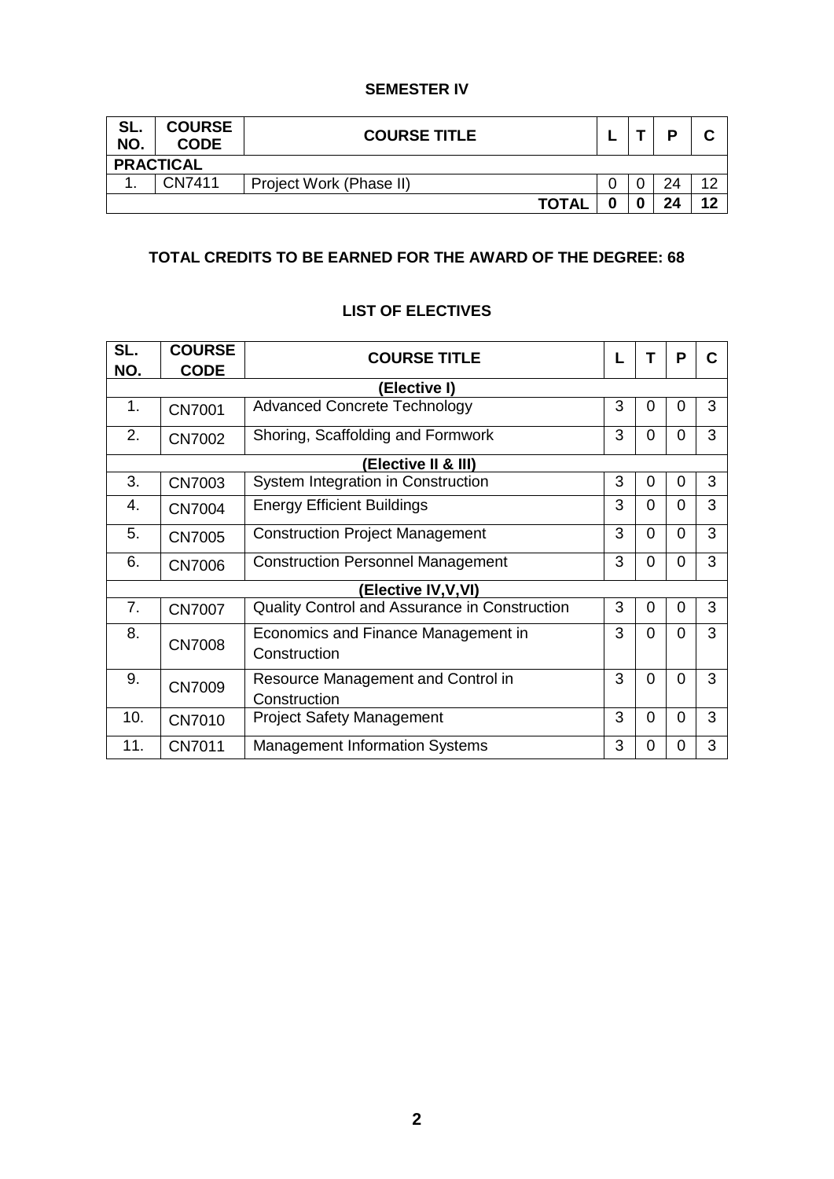### **SEMESTER IV**

| SL.<br>NO.       | <b>COURSE</b><br><b>CODE</b> | <b>COURSE TITLE</b>     |  |  | D  |    |  |
|------------------|------------------------------|-------------------------|--|--|----|----|--|
| <b>PRACTICAL</b> |                              |                         |  |  |    |    |  |
| . .              | CN7411                       | Project Work (Phase II) |  |  | 24 |    |  |
|                  |                              | <b>TOTAL</b>            |  |  | 24 | 10 |  |

### **TOTAL CREDITS TO BE EARNED FOR THE AWARD OF THE DEGREE: 68**

### **SL. NO. COURSE CODE COURSE TITLE L T P C (Elective I)** 1. | CN7001 | [Advanced](#page-12-0) Concrete Technology | 3 | 0 | 0 | 3 2.  $\sqrt{CN7002}$  [Shoring,](#page-12-1) Scaffolding and Formwork 3 0 0 3 **(Elective II & III) 0** 4. CN7004 [Energy](#page-14-1) Efficient Buildings 3 0 0 3 **5.** CN7005 [Construction](#page-16-0) Project Management 3 0 0 3 3. CN7003 [System](#page-14-0) Integration in Construction 3 0 0 3 6. CN7006 [Construction](#page-17-0) Personnel Management 3 0 0 3 **(Elective IV,V,VI)** 7. CN7007 [Quality](#page-17-1) Control and Assurance in Construction 3 0 0 3 8. CN7008 [Economics](#page-18-0) and Finance Management in **Construction**  $3 0 0 3$ 9. CN7009 [Resource](#page-19-0) Management and Control in **Construction**  $3 0 0 3$ 10. CN7010 [Project](#page-20-0) Safety Management 3 0 0 3 11. CN7011 [Management](#page-21-0) Information Systems 3 0 0 3

### **LIST OF ELECTIVES**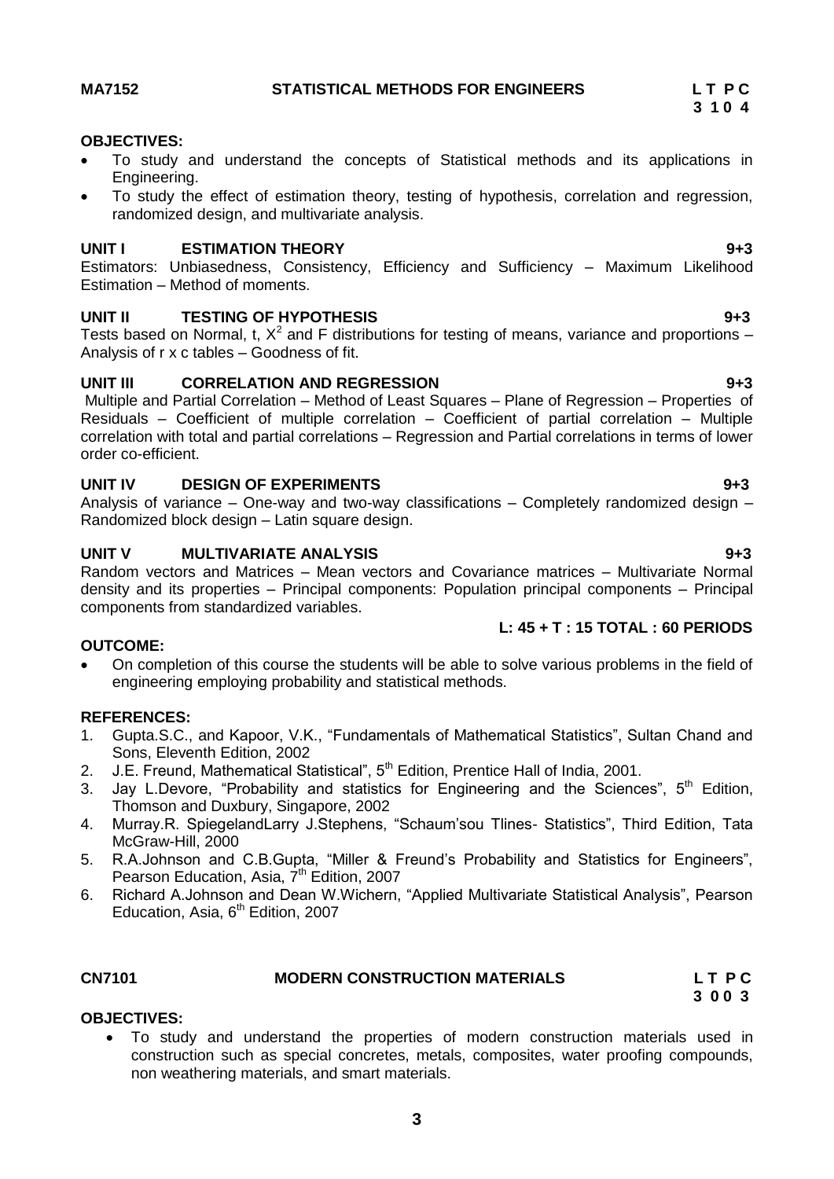### <span id="page-2-0"></span>**OBJECTIVES:**

- To study and understand the concepts of Statistical methods and its applications in Engineering.
- To study the effect of estimation theory, testing of hypothesis, correlation and regression, randomized design, and multivariate analysis.

### **UNIT I ESTIMATION THEORY 9+3**

Estimators: Unbiasedness, Consistency, Efficiency and Sufficiency – Maximum Likelihood Estimation – Method of moments.

### **UNIT II TESTING OF HYPOTHESIS 9+3**

Tests based on Normal, t,  $X^2$  and F distributions for testing of means, variance and proportions – Analysis of r x c tables – Goodness of fit.

### **UNIT III CORRELATION AND REGRESSION 9+3**

Multiple and Partial Correlation – Method of Least Squares – Plane of Regression – Properties of Residuals – Coefficient of multiple correlation – Coefficient of partial correlation – Multiple correlation with total and partial correlations – Regression and Partial correlations in terms of lower order co-efficient.

### **UNIT IV DESIGN OF EXPERIMENTS 9+3**

Analysis of variance – One-way and two-way classifications – Completely randomized design – Randomized block design – Latin square design.

### **UNIT V MULTIVARIATE ANALYSIS 9+3**

Random vectors and Matrices – Mean vectors and Covariance matrices – Multivariate Normal density and its properties – Principal components: Population principal components – Principal components from standardized variables.

### **L: 45 + T : 15 TOTAL : 60 PERIODS**

### **OUTCOME:**

 On completion of this course the students will be able to solve various problems in the field of engineering employing probability and statistical methods.

### **REFERENCES:**

- 1. Gupta.S.C., and Kapoor, V.K., "Fundamentals of Mathematical Statistics", Sultan Chand and Sons, Eleventh Edition, 2002
- 2. J.E. Freund, Mathematical Statistical", 5<sup>th</sup> Edition, Prentice Hall of India, 2001.
- 3. Jay L.Devore, "Probability and statistics for Engineering and the Sciences",  $5<sup>th</sup>$  Edition, Thomson and Duxbury, Singapore, 2002
- 4. Murray.R. SpiegelandLarry J.Stephens, "Schaum'sou Tlines- Statistics", Third Edition, Tata McGraw-Hill, 2000
- 5. R.A.Johnson and C.B.Gupta, "Miller & Freund's Probability and Statistics for Engineers", Pearson Education, Asia,  $7<sup>th</sup>$  Edition, 2007
- 6. Richard A.Johnson and Dean W.Wichern, "Applied Multivariate Statistical Analysis", Pearson Education, Asia,  $6<sup>th</sup>$  Edition, 2007

### **CN7101****MODERN CONSTRUCTION MATERIALS L T P C 3 0 0 3**

### **OBJECTIVES:**

<span id="page-2-1"></span> To study and understand the properties of modern construction materials used in construction such as special concretes, metals, composites, water proofing compounds, non weathering materials, and smart materials.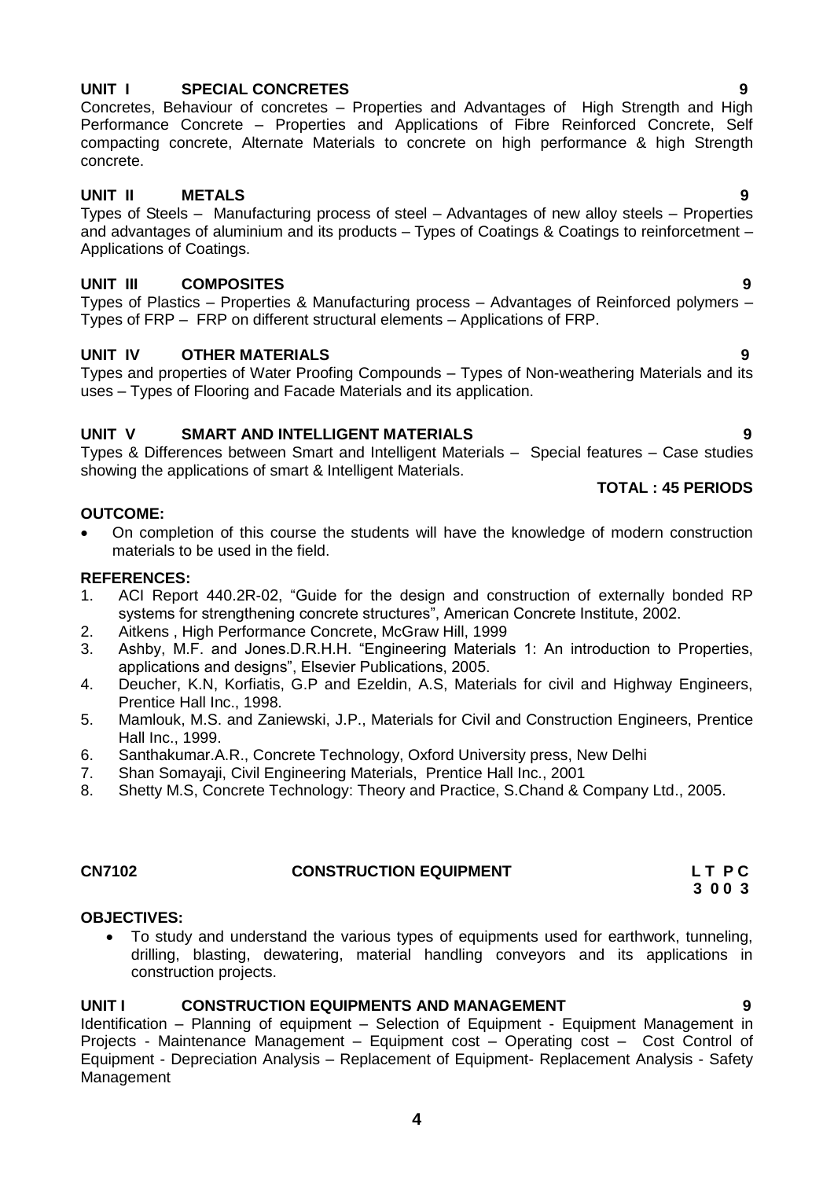### **4**

### **UNIT I SPECIAL CONCRETES 9**

Concretes, Behaviour of concretes – Properties and Advantages of High Strength and High Performance Concrete – Properties and Applications of Fibre Reinforced Concrete, Self compacting concrete, Alternate Materials to concrete on high performance & high Strength concrete.

### **UNIT II METALS 9**

Types of Steels – Manufacturing process of steel – Advantages of new alloy steels – Properties and advantages of aluminium and its products – Types of Coatings & Coatings to reinforcetment – Applications of Coatings.

### **UNIT III COMPOSITES 9**

Types of Plastics – Properties & Manufacturing process – Advantages of Reinforced polymers – Types of FRP – FRP on different structural elements – Applications of FRP.

### **UNIT IV OTHER MATERIALS 9**

Types and properties of Water Proofing Compounds – Types of Non-weathering Materials and its uses – Types of Flooring and Facade Materials and its application.

### **UNIT V SMART AND INTELLIGENT MATERIALS 9**

Types & Differences between Smart and Intelligent Materials – Special features – Case studies showing the applications of smart & Intelligent Materials.

### **OUTCOME:**

 On completion of this course the students will have the knowledge of modern construction materials to be used in the field.

### **REFERENCES:**

- 1. ACI Report 440.2R-02, "Guide for the design and construction of externally bonded RP systems for strengthening concrete structures", American Concrete Institute, 2002.
- 2. Aitkens , High Performance Concrete, McGraw Hill, 1999
- 3. Ashby, M.F. and Jones.D.R.H.H. "Engineering Materials 1: An introduction to Properties, applications and designs", Elsevier Publications, 2005.
- 4. Deucher, K.N, Korfiatis, G.P and Ezeldin, A.S, Materials for civil and Highway Engineers, Prentice Hall Inc., 1998.
- 5. Mamlouk, M.S. and Zaniewski, J.P., Materials for Civil and Construction Engineers, Prentice Hall Inc., 1999.
- 6. Santhakumar.A.R., Concrete Technology, Oxford University press, New Delhi
- 7. Shan Somayaji, Civil Engineering Materials, Prentice Hall Inc., 2001
- 8. Shetty M.S, Concrete Technology: Theory and Practice, S.Chand & Company Ltd., 2005.

### **CN7102 CONSTRUCTION EQUIPMENT L T P C 3 0 0 3**

### **OBJECTIVES:**

<span id="page-3-0"></span> To study and understand the various types of equipments used for earthwork, tunneling, drilling, blasting, dewatering, material handling conveyors and its applications in construction projects.

### **UNIT I CONSTRUCTION EQUIPMENTS AND MANAGEMENT 9**

Identification – Planning of equipment – Selection of Equipment - Equipment Management in Projects - Maintenance Management – Equipment cost – Operating cost – Cost Control of Equipment - Depreciation Analysis – Replacement of Equipment- Replacement Analysis - Safety Management

### **TOTAL : 45 PERIODS**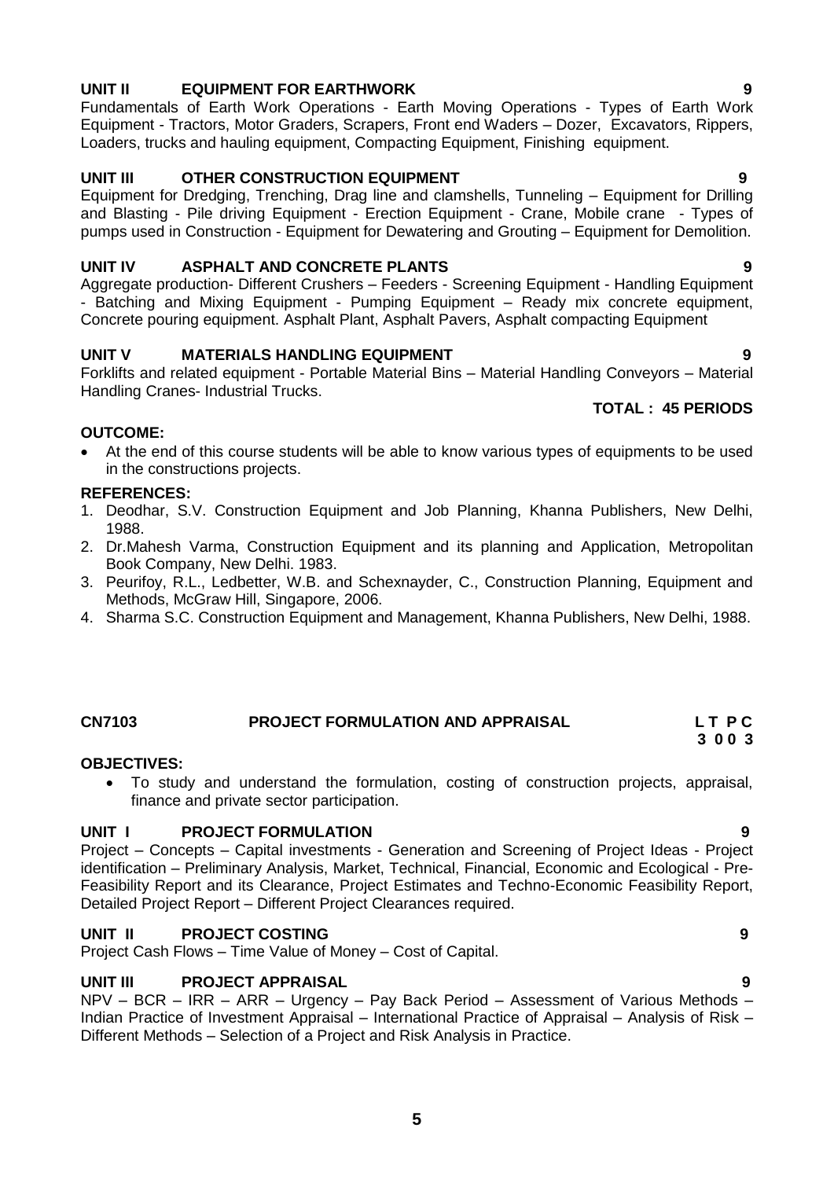### **UNIT II EQUIPMENT FOR EARTHWORK 9**

Fundamentals of Earth Work Operations - Earth Moving Operations - Types of Earth Work Equipment - Tractors, Motor Graders, Scrapers, Front end Waders – Dozer, Excavators, Rippers, Loaders, trucks and hauling equipment, Compacting Equipment, Finishing equipment.

### **UNIT III OTHER CONSTRUCTION EQUIPMENT 9**

Equipment for Dredging, Trenching, Drag line and clamshells, Tunneling – Equipment for Drilling and Blasting - Pile driving Equipment - Erection Equipment - Crane, Mobile crane - Types of pumps used in Construction - Equipment for Dewatering and Grouting – Equipment for Demolition.

### **UNIT IV ASPHALT AND CONCRETE PLANTS 9**

Aggregate production- Different Crushers – Feeders - Screening Equipment - Handling Equipment - Batching and Mixing Equipment - Pumping Equipment – Ready mix concrete equipment, Concrete pouring equipment. Asphalt Plant, Asphalt Pavers, Asphalt compacting Equipment

### **UNIT V MATERIALS HANDLING EQUIPMENT 9**

Forklifts and related equipment - Portable Material Bins – Material Handling Conveyors – Material Handling Cranes- Industrial Trucks.

### **TOTAL : 45 PERIODS**

### **OUTCOME:**

 At the end of this course students will be able to know various types of equipments to be used in the constructions projects.

### **REFERENCES:**

- 1. Deodhar, S.V. Construction Equipment and Job Planning, Khanna Publishers, New Delhi, 1988.
- 2. Dr.Mahesh Varma, Construction Equipment and its planning and Application, Metropolitan Book Company, New Delhi. 1983.
- 3. Peurifoy, R.L., Ledbetter, W.B. and Schexnayder, C., Construction Planning, Equipment and Methods, McGraw Hill, Singapore, 2006.
- 4. Sharma S.C. Construction Equipment and Management, Khanna Publishers, New Delhi, 1988.

### **CN7103 PROJECT FORMULATION AND APPRAISAL L T P C 3 0 0 3**

### **OBJECTIVES:**

<span id="page-4-0"></span> To study and understand the formulation, costing of construction projects, appraisal, finance and private sector participation.

### **UNIT I PROJECT FORMULATION 9**

Project – Concepts – Capital investments - Generation and Screening of Project Ideas - Project identification – Preliminary Analysis, Market, Technical, Financial, Economic and Ecological - Pre-Feasibility Report and its Clearance, Project Estimates and Techno-Economic Feasibility Report, Detailed Project Report – Different Project Clearances required.

### **UNIT II PROJECT COSTING 9**

Project Cash Flows – Time Value of Money – Cost of Capital.

### **UNIT III PROJECT APPRAISAL**

NPV – BCR – IRR – ARR – Urgency – Pay Back Period – Assessment of Various Methods – Indian Practice of Investment Appraisal – International Practice of Appraisal – Analysis of Risk – Different Methods – Selection of a Project and Risk Analysis in Practice.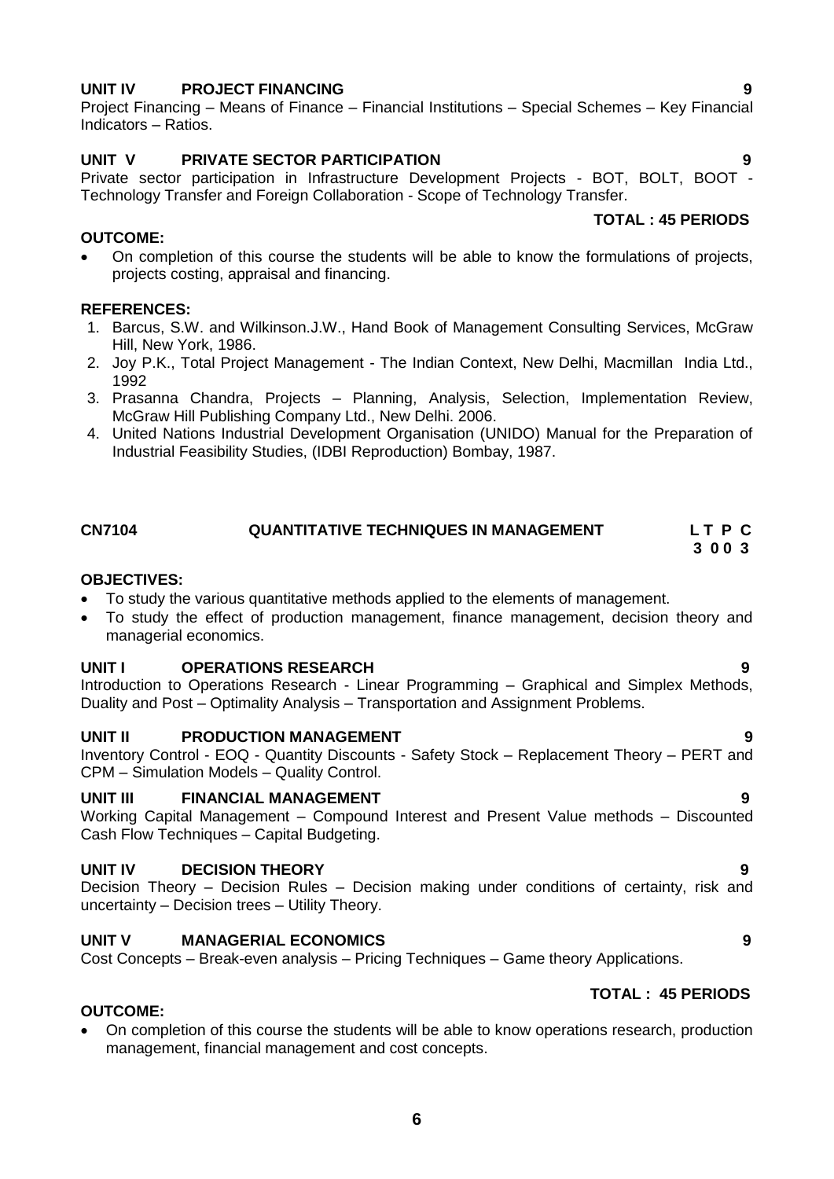### **UNIT IV PROJECT FINANCING 9**

Project Financing – Means of Finance – Financial Institutions – Special Schemes – Key Financial Indicators – Ratios.

### **UNIT V PRIVATE SECTOR PARTICIPATION 9**

Private sector participation in Infrastructure Development Projects - BOT, BOLT, BOOT - Technology Transfer and Foreign Collaboration - Scope of Technology Transfer.

### **OUTCOME:**

 On completion of this course the students will be able to know the formulations of projects, projects costing, appraisal and financing.

### **REFERENCES:**

- 1. Barcus, S.W. and Wilkinson.J.W., Hand Book of Management Consulting Services, McGraw Hill, New York, 1986.
- 2. Joy P.K., Total Project Management The Indian Context, New Delhi, Macmillan India Ltd., 1992
- 3. Prasanna Chandra, Projects Planning, Analysis, Selection, Implementation Review, McGraw Hill Publishing Company Ltd., New Delhi. 2006.
- 4. United Nations Industrial Development Organisation (UNIDO) Manual for the Preparation of Industrial Feasibility Studies, (IDBI Reproduction) Bombay, 1987.

### **CN7104** QUANTITATIVE TECHNIQUES IN MANAGEMENT LT P C<br>3 0 0 3  **3 0 0 3**

### **OBJECTIVES:**

**OUTCOME:**

- To study the various quantitative methods applied to the elements of management.
- To study the effect of production management, finance management, decision theory and managerial economics.

### **UNIT I OPERATIONS RESEARCH 9**

Introduction to Operations Research - Linear Programming – Graphical and Simplex Methods, Duality and Post – Optimality Analysis – Transportation and Assignment Problems.

### **UNIT II PRODUCTION MANAGEMENT 9**

Inventory Control - EOQ - Quantity Discounts - Safety Stock – Replacement Theory – PERT and CPM – Simulation Models – Quality Control.

### **UNIT III FINANCIAL MANAGEMENT 9**

Working Capital Management – Compound Interest and Present Value methods – Discounted Cash Flow Techniques – Capital Budgeting.

### **UNIT IV DECISION THEORY 9**

Decision Theory – Decision Rules – Decision making under conditions of certainty, risk and uncertainty – Decision trees – Utility Theory.

### **UNIT V MANAGERIAL ECONOMICS 9**

Cost Concepts – Break-even analysis – Pricing Techniques – Game theory Applications.

### **TOTAL : 45 PERIODS**

**TOTAL : 45 PERIODS**

 On completion of this course the students will be able to know operations research, production management, financial management and cost concepts.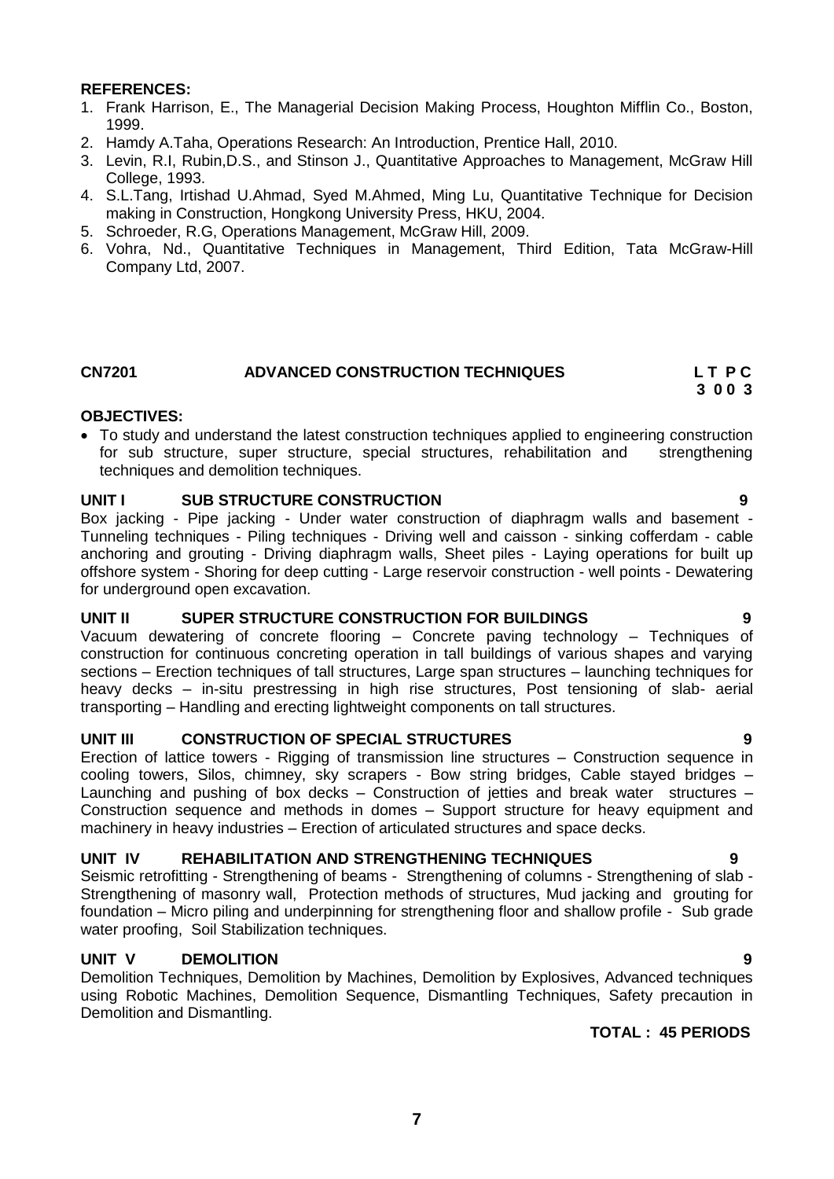### **REFERENCES:**

- 1. Frank Harrison, E., The Managerial Decision Making Process, Houghton Mifflin Co., Boston, 1999.
- 2. Hamdy A.Taha, Operations Research: An Introduction, Prentice Hall, 2010.
- 3. Levin, R.I, Rubin,D.S., and Stinson J., Quantitative Approaches to Management, McGraw Hill College, 1993.
- 4. S.L.Tang, Irtishad U.Ahmad, Syed M.Ahmed, Ming Lu, Quantitative Technique for Decision making in Construction, Hongkong University Press, HKU, 2004.
- 5. Schroeder, R.G, Operations Management, McGraw Hill, 2009.
- 6. Vohra, Nd., Quantitative Techniques in Management, Third Edition, Tata McGraw-Hill Company Ltd, 2007.

### **CN7201 ADVANCED CONSTRUCTION TECHNIQUES L T P C**

### **OBJECTIVES:**

 To study and understand the latest construction techniques applied to engineering construction for sub structure, super structure, special structures, rehabilitation and strengthening techniques and demolition techniques.

### **UNIT I SUB STRUCTURE CONSTRUCTION 9**

Box jacking - Pipe jacking - Under water construction of diaphragm walls and basement - Tunneling techniques - Piling techniques - Driving well and caisson - sinking cofferdam - cable anchoring and grouting - Driving diaphragm walls, Sheet piles - Laying operations for built up offshore system - Shoring for deep cutting - Large reservoir construction - well points - Dewatering for underground open excavation.

### **UNIT II SUPER STRUCTURE CONSTRUCTION FOR BUILDINGS 9**

Vacuum dewatering of concrete flooring – Concrete paving technology – Techniques of construction for continuous concreting operation in tall buildings of various shapes and varying sections – Erection techniques of tall structures, Large span structures – launching techniques for heavy decks – in-situ prestressing in high rise structures, Post tensioning of slab- aerial transporting – Handling and erecting lightweight components on tall structures.

### **UNIT III CONSTRUCTION OF SPECIAL STRUCTURES 9**

Erection of lattice towers - Rigging of transmission line structures – Construction sequence in cooling towers, Silos, chimney, sky scrapers - Bow string bridges, Cable stayed bridges – Launching and pushing of box decks – Construction of jetties and break water structures – Construction sequence and methods in domes – Support structure for heavy equipment and machinery in heavy industries – Erection of articulated structures and space decks.

### **UNIT IV REHABILITATION AND STRENGTHENING TECHNIQUES 9**

Seismic retrofitting - Strengthening of beams - Strengthening of columns - Strengthening of slab - Strengthening of masonry wall, Protection methods of structures, Mud jacking and grouting for foundation – Micro piling and underpinning for strengthening floor and shallow profile - Sub grade water proofing, Soil Stabilization techniques.

### **UNIT V DEMOLITION 9**

Demolition Techniques, Demolition by Machines, Demolition by Explosives, Advanced techniques using Robotic Machines, Demolition Sequence, Dismantling Techniques, Safety precaution in Demolition and Dismantling.

### **TOTAL : 45 PERIODS**

<span id="page-6-0"></span> **3 0 0 3**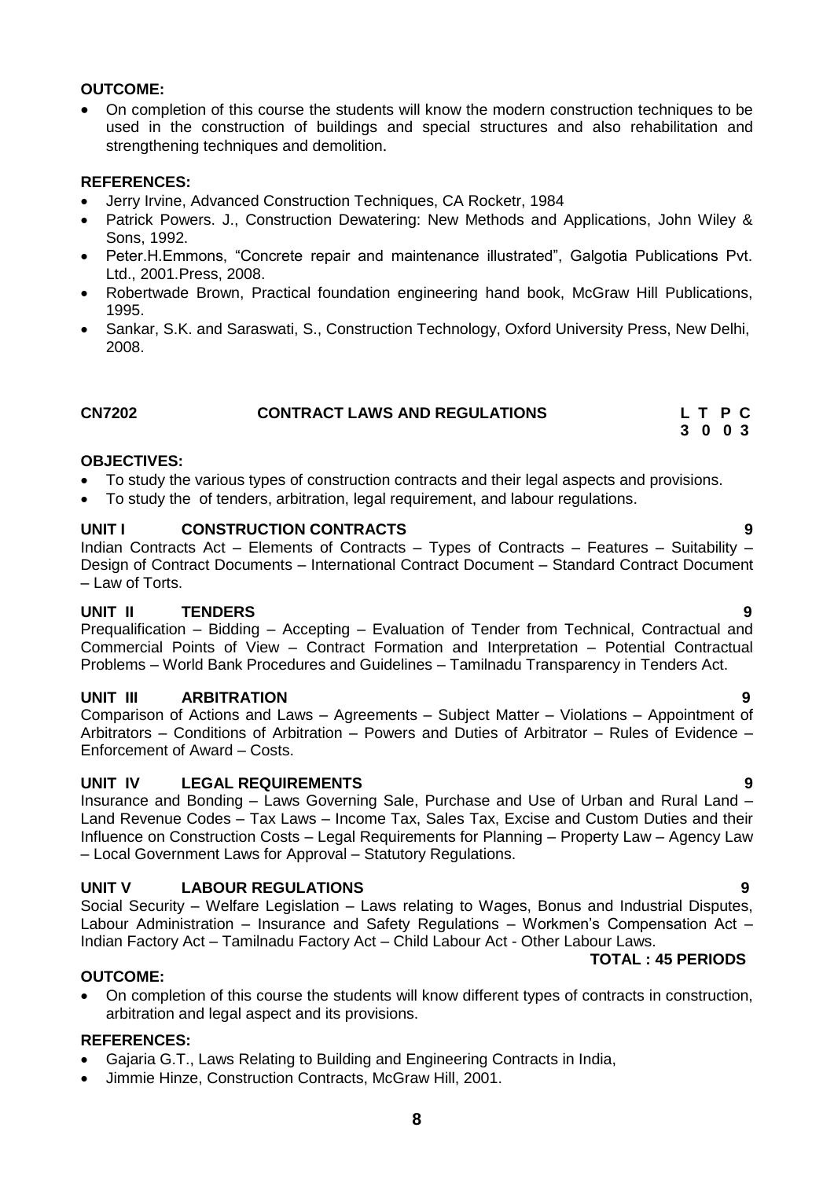### **OUTCOME:**

 On completion of this course the students will know the modern construction techniques to be used in the construction of buildings and special structures and also rehabilitation and strengthening techniques and demolition.

### **REFERENCES:**

- Jerry Irvine, Advanced Construction Techniques, CA Rocketr, 1984
- Patrick Powers. J., Construction Dewatering: New Methods and Applications, John Wiley & Sons, 1992.
- Peter.H.Emmons, "Concrete repair and maintenance illustrated", Galgotia Publications Pvt. Ltd., 2001.Press, 2008.
- Robertwade Brown, Practical foundation engineering hand book, McGraw Hill Publications, 1995.
- Sankar, S.K. and Saraswati, S., Construction Technology, Oxford University Press, New Delhi, 2008.

### <span id="page-7-0"></span>**CN7202 CONTRACT LAWS AND REGULATIONS L T P C 3 0 0 3**

### **OBJECTIVES:**

- To study the various types of construction contracts and their legal aspects and provisions.
- To study the of tenders, arbitration, legal requirement, and labour regulations.

### **UNIT I CONSTRUCTION CONTRACTS 9**

Indian Contracts Act – Elements of Contracts – Types of Contracts – Features – Suitability – Design of Contract Documents – International Contract Document – Standard Contract Document – Law of Torts.

### **UNIT II TENDERS 9**

Prequalification – Bidding – Accepting – Evaluation of Tender from Technical, Contractual and Commercial Points of View – Contract Formation and Interpretation – Potential Contractual Problems – World Bank Procedures and Guidelines – Tamilnadu Transparency in Tenders Act.

### **UNIT III ARBITRATION 9**

Comparison of Actions and Laws – Agreements – Subject Matter – Violations – Appointment of Arbitrators – Conditions of Arbitration – Powers and Duties of Arbitrator – Rules of Evidence – Enforcement of Award – Costs.

### **UNIT IV LEGAL REQUIREMENTS 9**

Insurance and Bonding – Laws Governing Sale, Purchase and Use of Urban and Rural Land – Land Revenue Codes – Tax Laws – Income Tax, Sales Tax, Excise and Custom Duties and their Influence on Construction Costs – Legal Requirements for Planning – Property Law – Agency Law – Local Government Laws for Approval – Statutory Regulations.

### **UNIT V LABOUR REGULATIONS 9**

Social Security – Welfare Legislation – Laws relating to Wages, Bonus and Industrial Disputes, Labour Administration – Insurance and Safety Regulations – Workmen's Compensation Act – Indian Factory Act – Tamilnadu Factory Act – Child Labour Act - Other Labour Laws.

### **OUTCOME:**

 On completion of this course the students will know different types of contracts in construction, arbitration and legal aspect and its provisions.

### **REFERENCES:**

- Gajaria G.T., Laws Relating to Building and Engineering Contracts in India,
- Jimmie Hinze, Construction Contracts, McGraw Hill, 2001.

### **TOTAL : 45 PERIODS**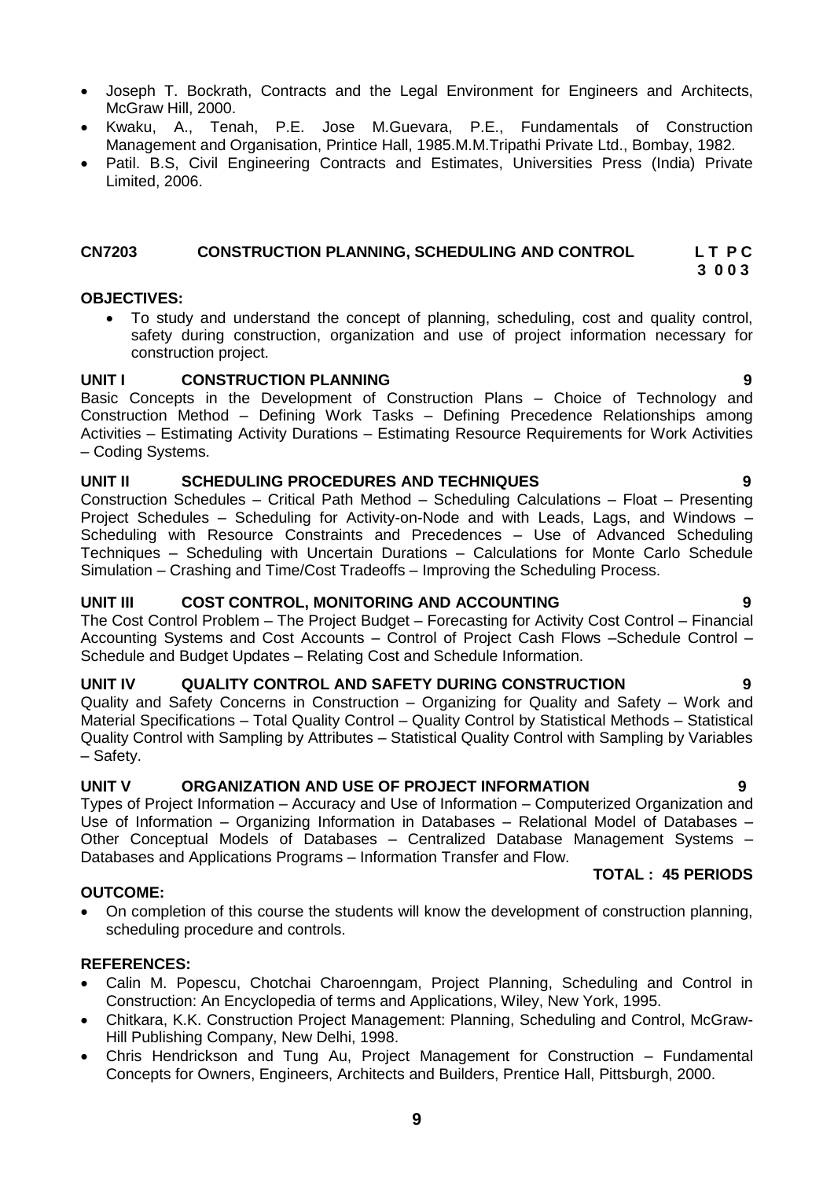- Joseph T. Bockrath, Contracts and the Legal Environment for Engineers and Architects, McGraw Hill, 2000.
- Kwaku, A., Tenah, P.E. Jose M.Guevara, P.E., Fundamentals of Construction Management and Organisation, Printice Hall, 1985.M.M.Tripathi Private Ltd., Bombay, 1982.
- Patil. B.S, Civil Engineering Contracts and Estimates, Universities Press (India) Private Limited, 2006.

# **CN7203 CONSTRUCTION PLANNING, SCHEDULING AND CONTROL L T P C**

### **3 0 0 3**

### **OBJECTIVES:**

<span id="page-8-0"></span> To study and understand the concept of planning, scheduling, cost and quality control, safety during construction, organization and use of project information necessary for construction project.

### **UNIT I CONSTRUCTION PLANNING 9**

Basic Concepts in the Development of Construction Plans – Choice of Technology and Construction Method – Defining Work Tasks – Defining Precedence Relationships among Activities – Estimating Activity Durations – Estimating Resource Requirements for Work Activities – Coding Systems.

### **UNIT II SCHEDULING PROCEDURES AND TECHNIQUES 9**

Construction Schedules – Critical Path Method – Scheduling Calculations – Float – Presenting Project Schedules – Scheduling for Activity-on-Node and with Leads, Lags, and Windows – Scheduling with Resource Constraints and Precedences – Use of Advanced Scheduling Techniques – Scheduling with Uncertain Durations – Calculations for Monte Carlo Schedule Simulation – Crashing and Time/Cost Tradeoffs – Improving the Scheduling Process.

### **UNIT III COST CONTROL, MONITORING AND ACCOUNTING 9**

The Cost Control Problem – The Project Budget – Forecasting for Activity Cost Control – Financial Accounting Systems and Cost Accounts – Control of Project Cash Flows –Schedule Control – Schedule and Budget Updates – Relating Cost and Schedule Information.

### **UNIT IV QUALITY CONTROL AND SAFETY DURING CONSTRUCTION 9**

Quality and Safety Concerns in Construction – Organizing for Quality and Safety – Work and Material Specifications – Total Quality Control – Quality Control by Statistical Methods – Statistical Quality Control with Sampling by Attributes – Statistical Quality Control with Sampling by Variables – Safety.

### **UNIT V ORGANIZATION AND USE OF PROJECT INFORMATION 9**

Types of Project Information – Accuracy and Use of Information – Computerized Organization and Use of Information – Organizing Information in Databases – Relational Model of Databases – Other Conceptual Models of Databases – Centralized Database Management Systems – Databases and Applications Programs – Information Transfer and Flow.

### **TOTAL : 45 PERIODS**

### **OUTCOME:**

 On completion of this course the students will know the development of construction planning, scheduling procedure and controls.

### **REFERENCES:**

- Calin M. Popescu, Chotchai Charoenngam, Project Planning, Scheduling and Control in Construction: An Encyclopedia of terms and Applications, Wiley, New York, 1995.
- Chitkara, K.K. Construction Project Management: Planning, Scheduling and Control, McGraw-Hill Publishing Company, New Delhi, 1998.
- Chris Hendrickson and Tung Au, Project Management for Construction Fundamental Concepts for Owners, Engineers, Architects and Builders, Prentice Hall, Pittsburgh, 2000.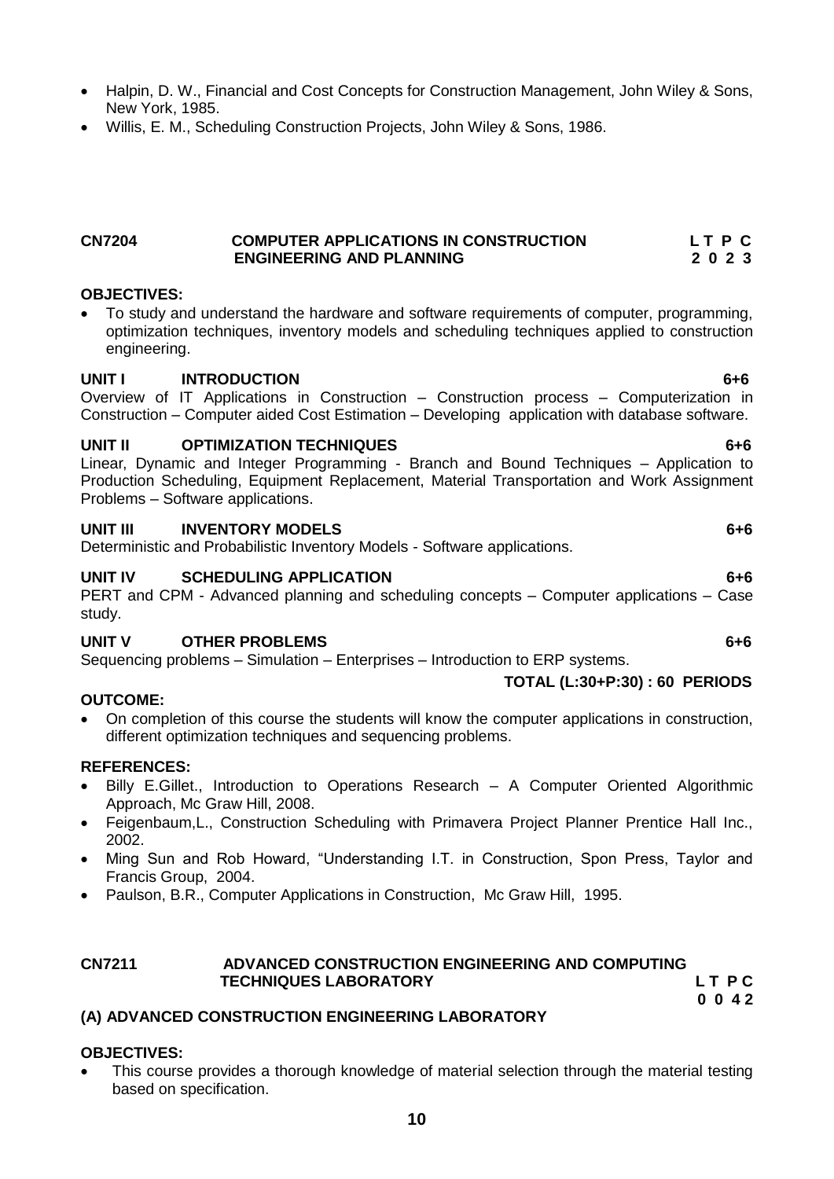- Halpin, D. W., Financial and Cost Concepts for Construction Management, John Wiley & Sons, New York, 1985.
- Willis, E. M., Scheduling Construction Projects, John Wiley & Sons, 1986.

### <span id="page-9-0"></span>**CN7204 COMPUTER APPLICATIONS IN CONSTRUCTION L T P C ENGINEERING AND PLANNING**

### **OBJECTIVES:**

 To study and understand the hardware and software requirements of computer, programming, optimization techniques, inventory models and scheduling techniques applied to construction engineering.

### **UNIT I INTRODUCTION 6+6**

Overview of IT Applications in Construction – Construction process – Computerization in Construction – Computer aided Cost Estimation – Developing application with database software.

### **UNIT II OPTIMIZATION TECHNIQUES 6+6**

Linear, Dynamic and Integer Programming - Branch and Bound Techniques – Application to Production Scheduling, Equipment Replacement, Material Transportation and Work Assignment Problems – Software applications.

### **UNIT III INVENTORY MODELS 6+6**

Deterministic and Probabilistic Inventory Models - Software applications.

### **UNIT IV SCHEDULING APPLICATION 6+6**

PERT and CPM - Advanced planning and scheduling concepts – Computer applications – Case study.

### **UNIT V OTHER PROBLEMS 6+6**

Sequencing problems – Simulation – Enterprises – Introduction to ERP systems.

### **OUTCOME:**

 On completion of this course the students will know the computer applications in construction, different optimization techniques and sequencing problems.

### **REFERENCES:**

- Billy E.Gillet., Introduction to Operations Research A Computer Oriented Algorithmic Approach, Mc Graw Hill, 2008.
- Feigenbaum,L., Construction Scheduling with Primavera Project Planner Prentice Hall Inc., 2002.
- Ming Sun and Rob Howard, "Understanding I.T. in Construction, Spon Press, Taylor and Francis Group, 2004.
- Paulson, B.R., Computer Applications in Construction, Mc Graw Hill, 1995.

### <span id="page-9-1"></span>**CN7211 ADVANCED CONSTRUCTION ENGINEERING AND COMPUTING TECHNIQUES LABORATORY L T P C**

### **0 0 4 2 (A) ADVANCED CONSTRUCTION ENGINEERING LABORATORY**

### **OBJECTIVES:**

 This course provides a thorough knowledge of material selection through the material testing based on specification.

 **TOTAL (L:30+P:30) : 60 PERIODS**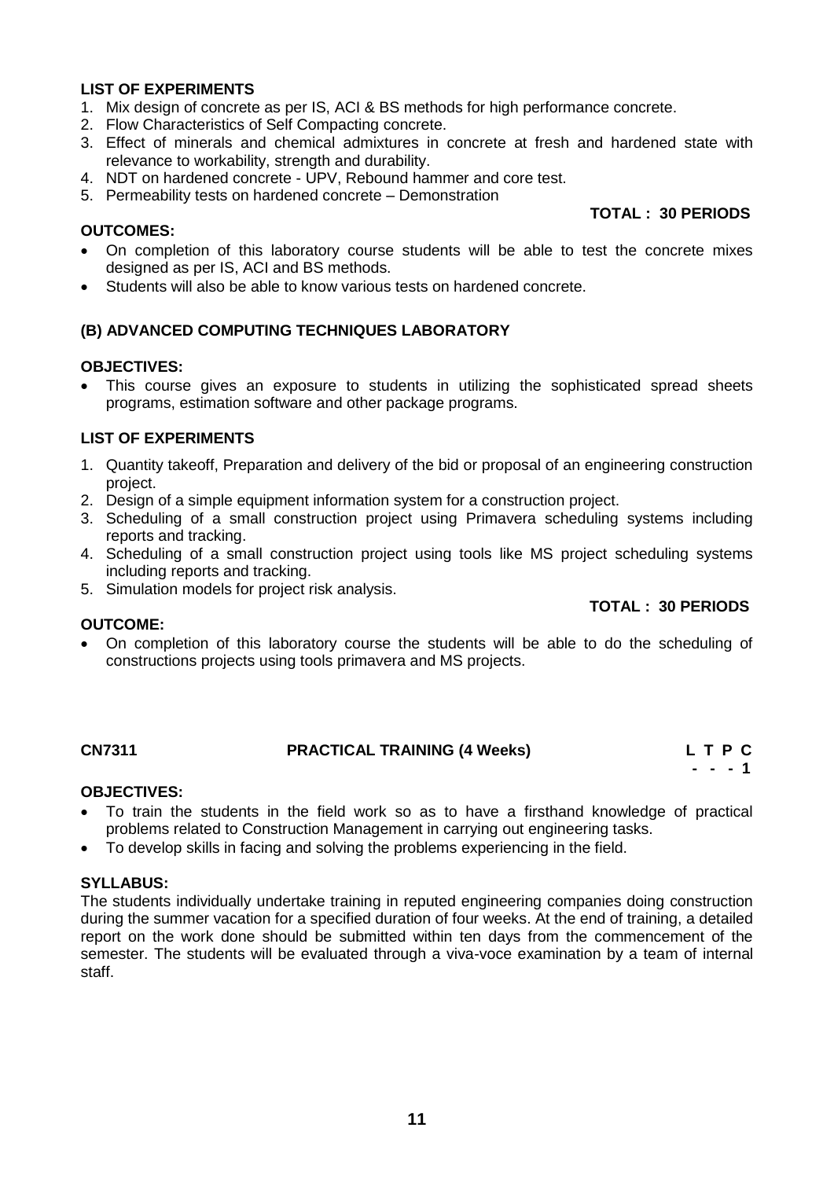### **LIST OF EXPERIMENTS**

- 1. Mix design of concrete as per IS, ACI & BS methods for high performance concrete.
- 2. Flow Characteristics of Self Compacting concrete.
- 3. Effect of minerals and chemical admixtures in concrete at fresh and hardened state with relevance to workability, strength and durability.
- 4. NDT on hardened concrete UPV, Rebound hammer and core test.
- 5. Permeability tests on hardened concrete Demonstration

### **OUTCOMES:**

- On completion of this laboratory course students will be able to test the concrete mixes designed as per IS, ACI and BS methods.
- Students will also be able to know various tests on hardened concrete.

### **(B) ADVANCED COMPUTING TECHNIQUES LABORATORY**

### **OBJECTIVES:**

 This course gives an exposure to students in utilizing the sophisticated spread sheets programs, estimation software and other package programs.

### **LIST OF EXPERIMENTS**

- 1. Quantity takeoff, Preparation and delivery of the bid or proposal of an engineering construction project.
- 2. Design of a simple equipment information system for a construction project.
- 3. Scheduling of a small construction project using Primavera scheduling systems including reports and tracking.
- 4. Scheduling of a small construction project using tools like MS project scheduling systems including reports and tracking.
- 5. Simulation models for project risk analysis.

### **OUTCOME:**

 On completion of this laboratory course the students will be able to do the scheduling of constructions projects using tools primavera and MS projects.

### <span id="page-10-0"></span>**CN7311 PRACTICAL TRAINING (4 Weeks) L T P C**

 **- - - 1**

### **OBJECTIVES:**

- To train the students in the field work so as to have a firsthand knowledge of practical problems related to Construction Management in carrying out engineering tasks.
- To develop skills in facing and solving the problems experiencing in the field.

### **SYLLABUS:**

The students individually undertake training in reputed engineering companies doing construction during the summer vacation for a specified duration of four weeks. At the end of training, a detailed report on the work done should be submitted within ten days from the commencement of the semester. The students will be evaluated through a viva-voce examination by a team of internal staff.

## **TOTAL : 30 PERIODS**

### **TOTAL : 30 PERIODS**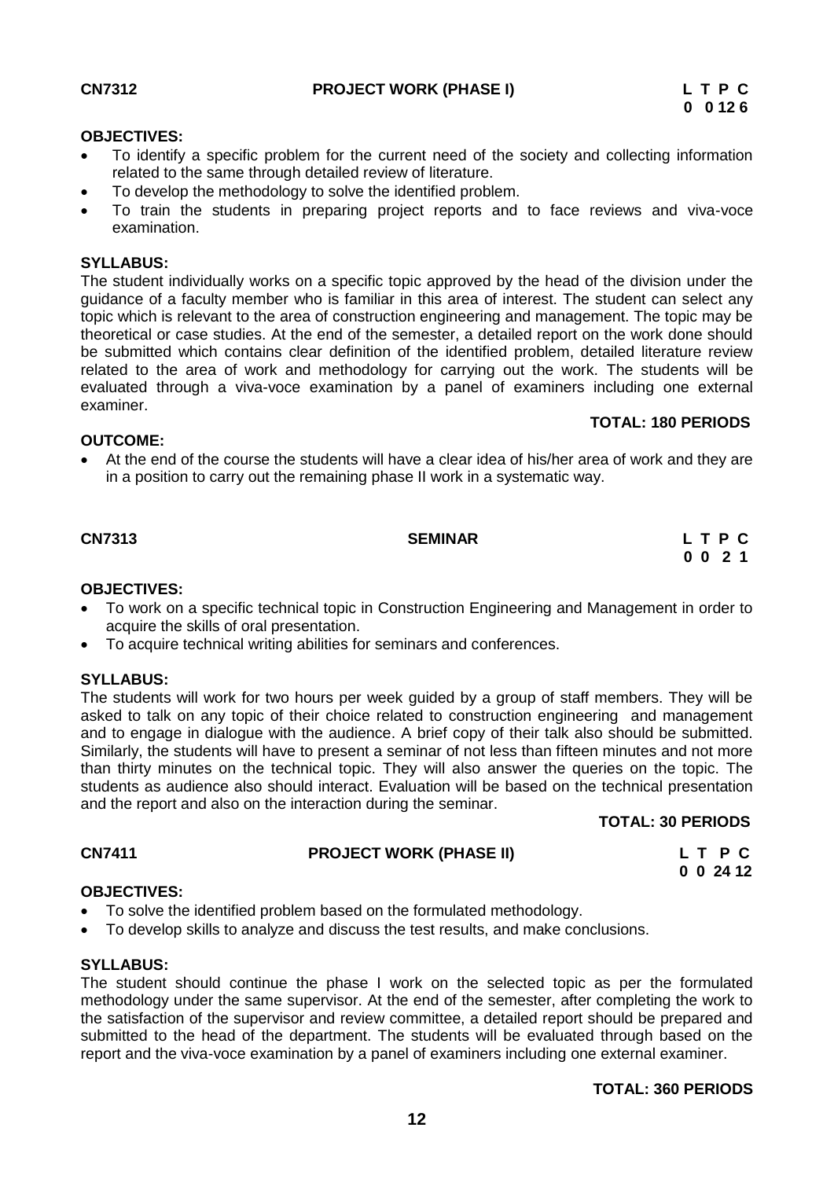<span id="page-11-0"></span>

### **OBJECTIVES:**

- To identify a specific problem for the current need of the society and collecting information related to the same through detailed review of literature.
- To develop the methodology to solve the identified problem.
- To train the students in preparing project reports and to face reviews and viva-voce examination.

### **SYLLABUS:**

The student individually works on a specific topic approved by the head of the division under the guidance of a faculty member who is familiar in this area of interest. The student can select any topic which is relevant to the area of construction engineering and management. The topic may be theoretical or case studies. At the end of the semester, a detailed report on the work done should be submitted which contains clear definition of the identified problem, detailed literature review related to the area of work and methodology for carrying out the work. The students will be evaluated through a viva-voce examination by a panel of examiners including one external examiner.

### **TOTAL: 180 PERIODS**

### **OUTCOME:**

 At the end of the course the students will have a clear idea of his/her area of work and they are in a position to carry out the remaining phase II work in a systematic way.

### **CN7313****SEMINAR L T P C**

# **0 0 2 1**

### **OBJECTIVES:**

- To work on a specific technical topic in Construction Engineering and Management in order to acquire the skills of oral presentation.
- To acquire technical writing abilities for seminars and conferences.

### **SYLLABUS:**

The students will work for two hours per week guided by a group of staff members. They will be asked to talk on any topic of their choice related to construction engineering and management and to engage in dialogue with the audience. A brief copy of their talk also should be submitted. Similarly, the students will have to present a seminar of not less than fifteen minutes and not more than thirty minutes on the technical topic. They will also answer the queries on the topic. The students as audience also should interact. Evaluation will be based on the technical presentation and the report and also on the interaction during the seminar.

### **TOTAL: 30 PERIODS**

### **CN7411 PROJECT WORK (PHASE II) L T P C**

 **0 0 24 12**

### **OBJECTIVES:**

- To solve the identified problem based on the formulated methodology.
- To develop skills to analyze and discuss the test results, and make conclusions.

### **SYLLABUS:**

The student should continue the phase I work on the selected topic as per the formulated methodology under the same supervisor. At the end of the semester, after completing the work to the satisfaction of the supervisor and review committee, a detailed report should be prepared and submitted to the head of the department. The students will be evaluated through based on the report and the viva-voce examination by a panel of examiners including one external examiner.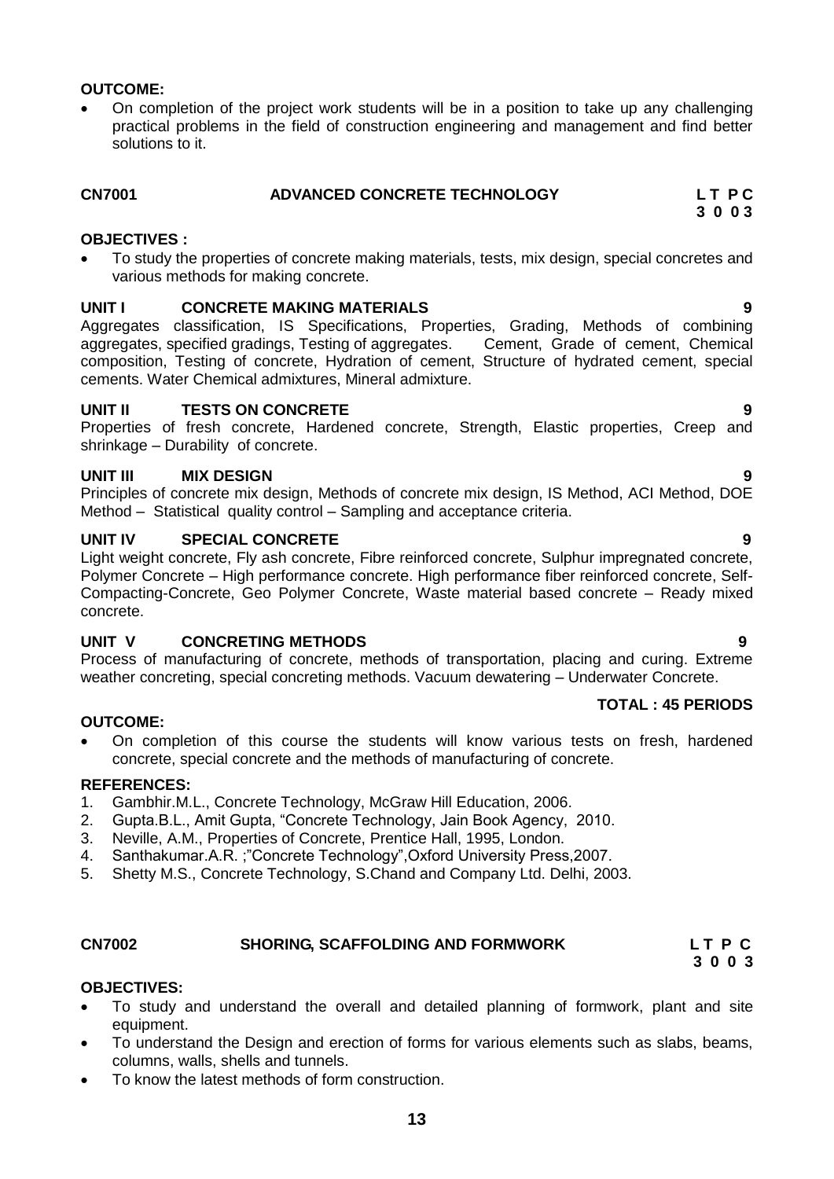### **OUTCOME:**

 On completion of the project work students will be in a position to take up any challenging practical problems in the field of construction engineering and management and find better solutions to it.

### <span id="page-12-0"></span>**CN7001 ADVANCED CONCRETE TECHNOLOGY L T P C 3 0 0 3**

### **OBJECTIVES :**

 To study the properties of concrete making materials, tests, mix design, special concretes and various methods for making concrete.

### **UNIT I CONCRETE MAKING MATERIALS 9**

Aggregates classification, IS Specifications, Properties, Grading, Methods of combining aggregates, specified gradings, Testing of aggregates. Cement, Grade of cement, Chemical composition, Testing of concrete, Hydration of cement, Structure of hydrated cement, special cements. Water Chemical admixtures, Mineral admixture.

### **UNIT II TESTS ON CONCRETE 9**

Properties of fresh concrete, Hardened concrete, Strength, Elastic properties, Creep and shrinkage – Durability of concrete.

### **UNIT III MIX DESIGN 9**

Principles of concrete mix design, Methods of concrete mix design, IS Method, ACI Method, DOE Method – Statistical quality control – Sampling and acceptance criteria.

### **UNIT IV SPECIAL CONCRETE 9**

Light weight concrete, Fly ash concrete, Fibre reinforced concrete, Sulphur impregnated concrete, Polymer Concrete – High performance concrete. High performance fiber reinforced concrete, Self-Compacting-Concrete, Geo Polymer Concrete, Waste material based concrete – Ready mixed concrete.

### **UNIT V CONCRETING METHODS 9**

Process of manufacturing of concrete, methods of transportation, placing and curing. Extreme weather concreting, special concreting methods. Vacuum dewatering – Underwater Concrete.

### **TOTAL : 45 PERIODS**

 On completion of this course the students will know various tests on fresh, hardened concrete, special concrete and the methods of manufacturing of concrete.

### **REFERENCES:**

**OUTCOME:**

- 1. Gambhir.M.L., Concrete Technology, McGraw Hill Education, 2006.<br>2. Gupta.B.L., Amit Gupta. "Concrete Technology. Jain Book Agency.
- 2. Gupta.B.L., Amit Gupta, "Concrete Technology, Jain Book Agency, 2010.
- 3. Neville, A.M., Properties of Concrete, Prentice Hall, 1995, London.
- 4. Santhakumar.A.R. ;"Concrete Technology",Oxford University Press,2007.
- 5. Shetty M.S., Concrete Technology, S.Chand and Company Ltd. Delhi, 2003.

### <span id="page-12-1"></span>**CN7002 SHORING, SCAFFOLDING AND FORMWORK L T P C**

### **OBJECTIVES:**

 To study and understand the overall and detailed planning of formwork, plant and site equipment.

 **3 0 0 3**

- To understand the Design and erection of forms for various elements such as slabs, beams, columns, walls, shells and tunnels.
- To know the latest methods of form construction.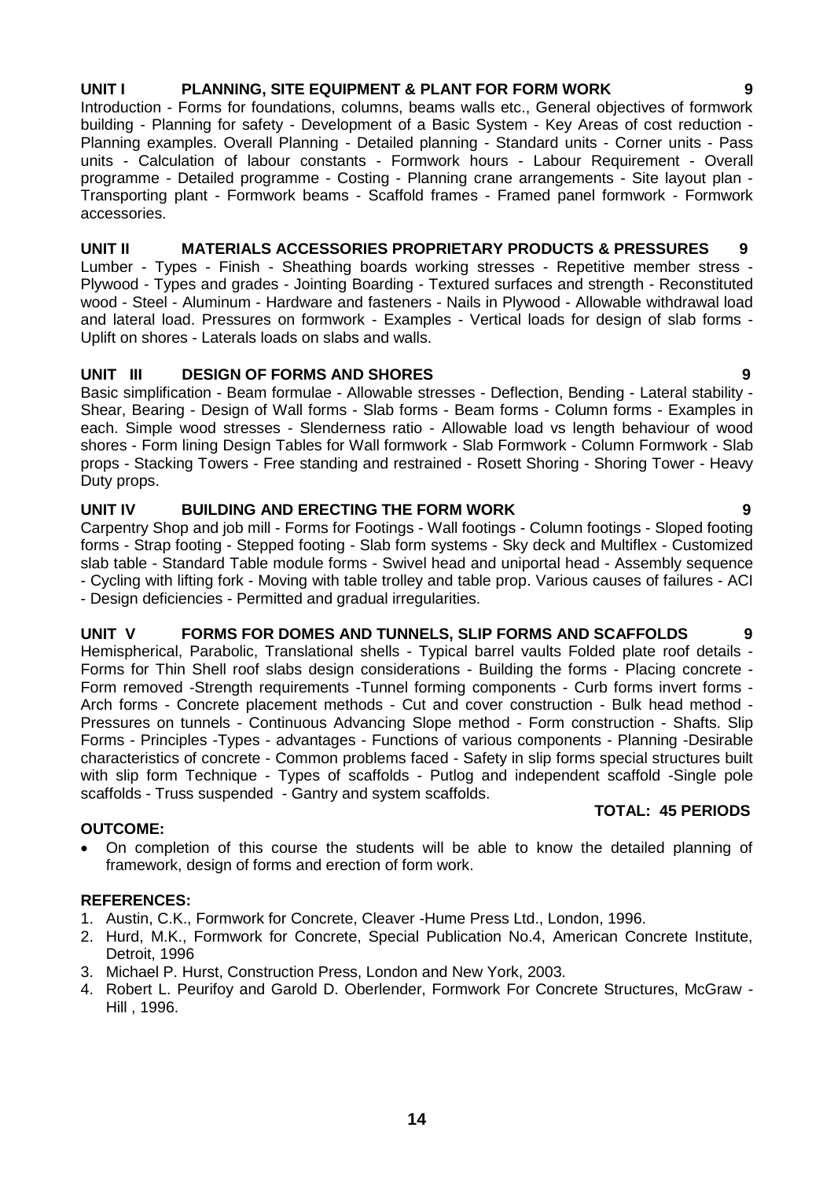# **14**

### **UNIT I PLANNING, SITE EQUIPMENT & PLANT FOR FORM WORK 9**

Introduction - Forms for foundations, columns, beams walls etc., General objectives of formwork building - Planning for safety - Development of a Basic System - Key Areas of cost reduction - Planning examples. Overall Planning - Detailed planning - Standard units - Corner units - Pass units - Calculation of labour constants - Formwork hours - Labour Requirement - Overall programme - Detailed programme - Costing - Planning crane arrangements - Site layout plan - Transporting plant - Formwork beams - Scaffold frames - Framed panel formwork - Formwork accessories.

### **UNIT II MATERIALS ACCESSORIES PROPRIETARY PRODUCTS & PRESSURES 9**

Lumber - Types - Finish - Sheathing boards working stresses - Repetitive member stress - Plywood - Types and grades - Jointing Boarding - Textured surfaces and strength - Reconstituted wood - Steel - Aluminum - Hardware and fasteners - Nails in Plywood - Allowable withdrawal load and lateral load. Pressures on formwork - Examples - Vertical loads for design of slab forms - Uplift on shores - Laterals loads on slabs and walls.

### **UNIT III DESIGN OF FORMS AND SHORES 9**

Basic simplification - Beam formulae - Allowable stresses - Deflection, Bending - Lateral stability - Shear, Bearing - Design of Wall forms - Slab forms - Beam forms - Column forms - Examples in each. Simple wood stresses - Slenderness ratio - Allowable load vs length behaviour of wood shores - Form lining Design Tables for Wall formwork - Slab Formwork - Column Formwork - Slab props - Stacking Towers - Free standing and restrained - Rosett Shoring - Shoring Tower - Heavy Duty props.

### **UNIT IV BUILDING AND ERECTING THE FORM WORK 9**

Carpentry Shop and job mill - Forms for Footings - Wall footings - Column footings - Sloped footing forms - Strap footing - Stepped footing - Slab form systems - Sky deck and Multiflex - Customized slab table - Standard Table module forms - Swivel head and uniportal head - Assembly sequence - Cycling with lifting fork - Moving with table trolley and table prop. Various causes of failures - ACI - Design deficiencies - Permitted and gradual irregularities.

### **UNIT V FORMS FOR DOMES AND TUNNELS, SLIP FORMS AND SCAFFOLDS 9**

Hemispherical, Parabolic, Translational shells - Typical barrel vaults Folded plate roof details - Forms for Thin Shell roof slabs design considerations - Building the forms - Placing concrete - Form removed -Strength requirements -Tunnel forming components - Curb forms invert forms - Arch forms - Concrete placement methods - Cut and cover construction - Bulk head method - Pressures on tunnels - Continuous Advancing Slope method - Form construction - Shafts. Slip Forms - Principles -Types - advantages - Functions of various components - Planning -Desirable characteristics of concrete - Common problems faced - Safety in slip forms special structures built with slip form Technique - Types of scaffolds - Putlog and independent scaffold -Single pole scaffolds - Truss suspended - Gantry and system scaffolds.

### **OUTCOME:**

 On completion of this course the students will be able to know the detailed planning of framework, design of forms and erection of form work.

### **REFERENCES:**

- 1. Austin, C.K., Formwork for Concrete, Cleaver -Hume Press Ltd., London, 1996.
- 2. Hurd, M.K., Formwork for Concrete, Special Publication No.4, American Concrete Institute, Detroit, 1996
- 3. Michael P. Hurst, Construction Press, London and New York, 2003.
- 4. Robert L. Peurifoy and Garold D. Oberlender, Formwork For Concrete Structures, McGraw Hill , 1996.

### **TOTAL: 45 PERIODS**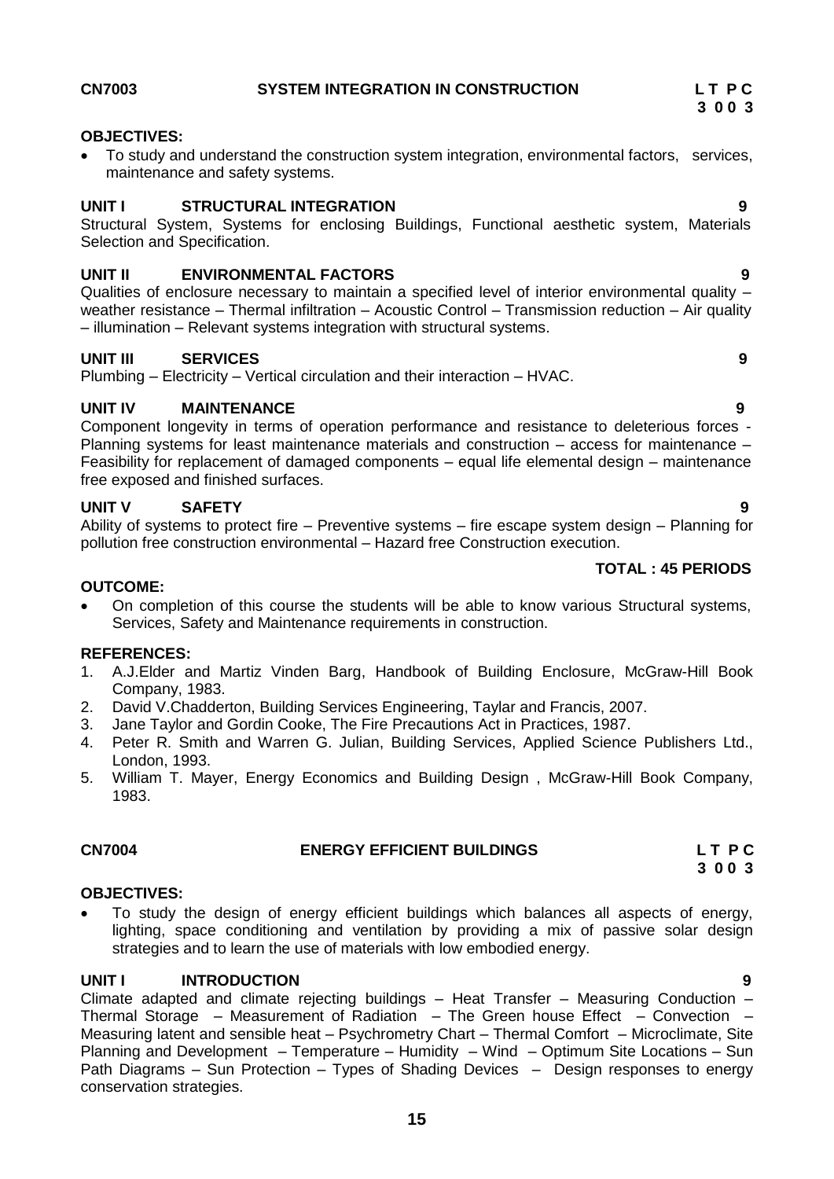**15**

### <span id="page-14-0"></span>**CN7003 SYSTEM INTEGRATION IN CONSTRUCTION L T P C**

### **OBJECTIVES:**

 To study and understand the construction system integration, environmental factors, services, maintenance and safety systems.

### **UNIT I STRUCTURAL INTEGRATION 9**

Structural System, Systems for enclosing Buildings, Functional aesthetic system, Materials Selection and Specification.

### **UNIT II ENVIRONMENTAL FACTORS 9**

Qualities of enclosure necessary to maintain a specified level of interior environmental quality – weather resistance – Thermal infiltration – Acoustic Control – Transmission reduction – Air quality – illumination – Relevant systems integration with structural systems.

### **UNIT III SERVICES 9**

Plumbing – Electricity – Vertical circulation and their interaction – HVAC.

### **UNIT IV MAINTENANCE 9**

Component longevity in terms of operation performance and resistance to deleterious forces - Planning systems for least maintenance materials and construction – access for maintenance – Feasibility for replacement of damaged components – equal life elemental design – maintenance free exposed and finished surfaces.

### **UNIT V SAFETY 9**

Ability of systems to protect fire – Preventive systems – fire escape system design – Planning for pollution free construction environmental – Hazard free Construction execution.

### **OUTCOME:**

 On completion of this course the students will be able to know various Structural systems, Services, Safety and Maintenance requirements in construction.

### **REFERENCES:**

- 1. A.J.Elder and Martiz Vinden Barg, Handbook of Building Enclosure, McGraw-Hill Book Company, 1983.
- 2. David V.Chadderton, Building Services Engineering, Taylar and Francis, 2007.
- 3. Jane Taylor and Gordin Cooke, The Fire Precautions Act in Practices, 1987.
- 4. Peter R. Smith and Warren G. Julian, Building Services, Applied Science Publishers Ltd., London, 1993.
- 5. William T. Mayer, Energy Economics and Building Design , McGraw-Hill Book Company, 1983.

### <span id="page-14-1"></span>**CN7004 ENERGY EFFICIENT BUILDINGS L T P C 3 0 0 3**

### **OBJECTIVES:**

 To study the design of energy efficient buildings which balances all aspects of energy, lighting, space conditioning and ventilation by providing a mix of passive solar design strategies and to learn the use of materials with low embodied energy.

### **UNIT I INTRODUCTION 9**

Climate adapted and climate rejecting buildings – Heat Transfer – Measuring Conduction – Thermal Storage – Measurement of Radiation – The Green house Effect – Convection – Measuring latent and sensible heat – Psychrometry Chart – Thermal Comfort – Microclimate, Site Planning and Development – Temperature – Humidity – Wind – Optimum Site Locations – Sun Path Diagrams – Sun Protection – Types of Shading Devices – Design responses to energy conservation strategies.

### **TOTAL : 45 PERIODS**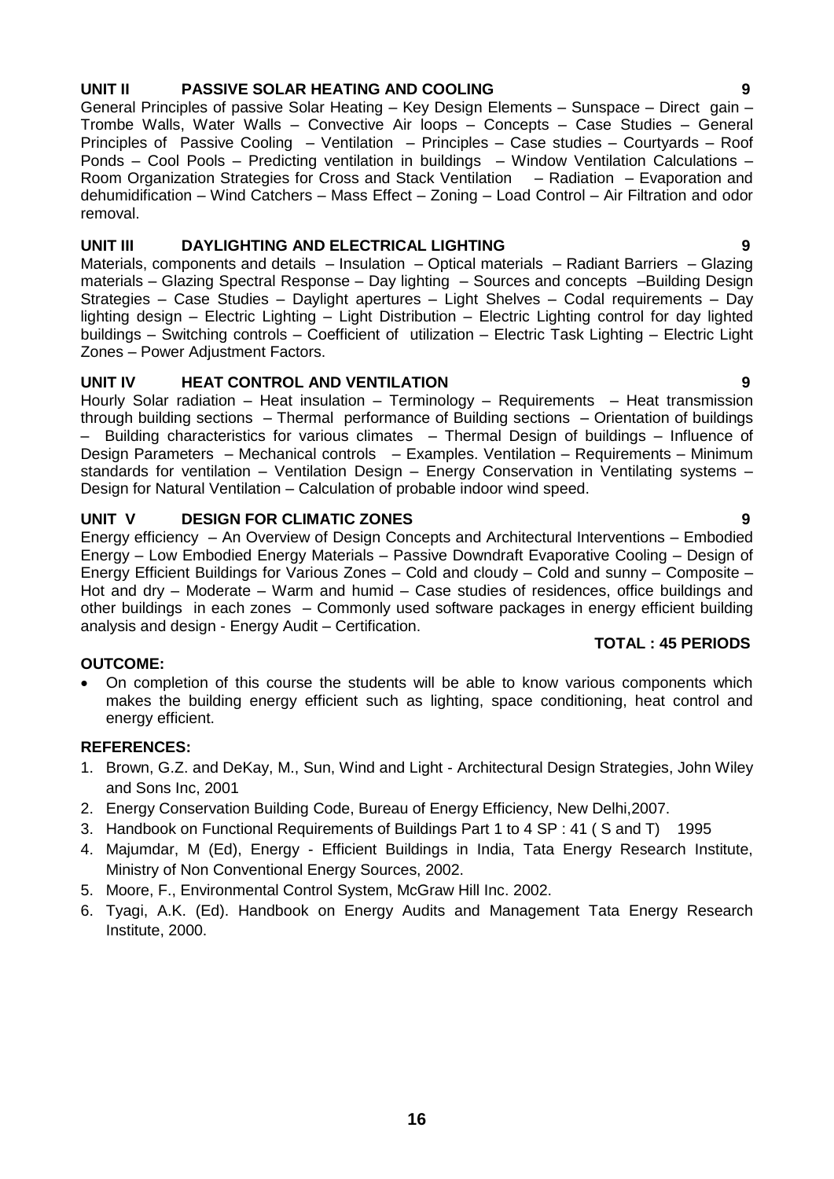### **UNIT II PASSIVE SOLAR HEATING AND COOLING 9**

General Principles of passive Solar Heating – Key Design Elements – Sunspace – Direct gain – Trombe Walls, Water Walls – Convective Air loops – Concepts – Case Studies – General Principles of Passive Cooling – Ventilation – Principles – Case studies – Courtyards – Roof Ponds – Cool Pools – Predicting ventilation in buildings – Window Ventilation Calculations – Room Organization Strategies for Cross and Stack Ventilation – Radiation – Evaporation and dehumidification – Wind Catchers – Mass Effect – Zoning – Load Control – Air Filtration and odor removal.

### **UNIT III DAYLIGHTING AND ELECTRICAL LIGHTING 9**

Materials, components and details – Insulation – Optical materials – Radiant Barriers – Glazing materials – Glazing Spectral Response – Day lighting – Sources and concepts –Building Design Strategies – Case Studies – Daylight apertures – Light Shelves – Codal requirements – Day lighting design – Electric Lighting – Light Distribution – Electric Lighting control for day lighted buildings – Switching controls – Coefficient of utilization – Electric Task Lighting – Electric Light Zones – Power Adjustment Factors.

### **UNIT IV HEAT CONTROL AND VENTILATION 9**

Hourly Solar radiation – Heat insulation – Terminology – Requirements – Heat transmission through building sections – Thermal performance of Building sections – Orientation of buildings – Building characteristics for various climates – Thermal Design of buildings – Influence of Design Parameters – Mechanical controls – Examples. Ventilation – Requirements – Minimum standards for ventilation – Ventilation Design – Energy Conservation in Ventilating systems – Design for Natural Ventilation – Calculation of probable indoor wind speed.

### **UNIT V DESIGN FOR CLIMATIC ZONES 9**

Energy efficiency – An Overview of Design Concepts and Architectural Interventions – Embodied Energy – Low Embodied Energy Materials – Passive Downdraft Evaporative Cooling – Design of Energy Efficient Buildings for Various Zones – Cold and cloudy – Cold and sunny – Composite – Hot and dry – Moderate – Warm and humid – Case studies of residences, office buildings and other buildings in each zones – Commonly used software packages in energy efficient building analysis and design - Energy Audit – Certification.

### **TOTAL : 45 PERIODS**

### **OUTCOME:**

 On completion of this course the students will be able to know various components which makes the building energy efficient such as lighting, space conditioning, heat control and energy efficient.

### **REFERENCES:**

- 1. Brown, G.Z. and DeKay, M., Sun, Wind and Light Architectural Design Strategies, John Wiley and Sons Inc, 2001
- 2. Energy Conservation Building Code, Bureau of Energy Efficiency, New Delhi,2007.
- 3. Handbook on Functional Requirements of Buildings Part 1 to 4 SP : 41 ( S and T) 1995
- 4. Majumdar, M (Ed), Energy Efficient Buildings in India, Tata Energy Research Institute, Ministry of Non Conventional Energy Sources, 2002.
- 5. Moore, F., Environmental Control System, McGraw Hill Inc. 2002.
- 6. Tyagi, A.K. (Ed). Handbook on Energy Audits and Management Tata Energy Research Institute, 2000.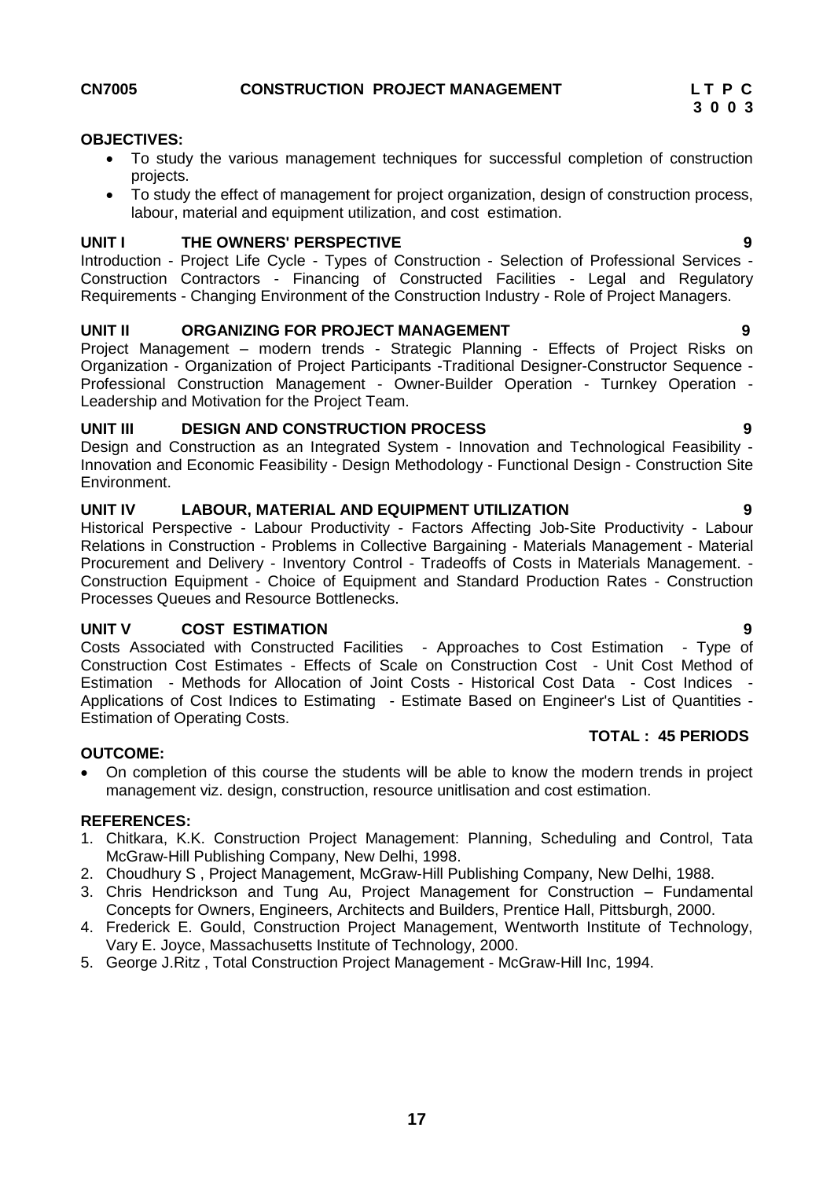### **OBJECTIVES:**

- <span id="page-16-0"></span> To study the various management techniques for successful completion of construction projects.
- To study the effect of management for project organization, design of construction process, labour, material and equipment utilization, and cost estimation.

### **UNIT I THE OWNERS' PERSPECTIVE 9**

Introduction - Project Life Cycle - Types of Construction - Selection of Professional Services - Construction Contractors - Financing of Constructed Facilities - Legal and Regulatory Requirements - Changing Environment of the Construction Industry - Role of Project Managers.

### **UNIT II ORGANIZING FOR PROJECT MANAGEMENT 9**

Project Management – modern trends - Strategic Planning - Effects of Project Risks on Organization - Organization of Project Participants -Traditional Designer-Constructor Sequence - Professional Construction Management - Owner-Builder Operation - Turnkey Operation - Leadership and Motivation for the Project Team.

### **UNIT III DESIGN AND CONSTRUCTION PROCESS 9**

Design and Construction as an Integrated System - Innovation and Technological Feasibility - Innovation and Economic Feasibility - Design Methodology - Functional Design - Construction Site Environment.

### **UNIT IV LABOUR, MATERIAL AND EQUIPMENT UTILIZATION 9**

Historical Perspective - Labour Productivity - Factors Affecting Job-Site Productivity - Labour Relations in Construction - Problems in Collective Bargaining - Materials Management - Material Procurement and Delivery - Inventory Control - Tradeoffs of Costs in Materials Management. - Construction Equipment - Choice of Equipment and Standard Production Rates - Construction Processes Queues and Resource Bottlenecks.

### **UNIT V COST ESTIMATION 9**

Costs Associated with Constructed Facilities - Approaches to Cost Estimation - Type of Construction Cost Estimates - Effects of Scale on Construction Cost - Unit Cost Method of Estimation - Methods for Allocation of Joint Costs - Historical Cost Data - Cost Indices - Applications of Cost Indices to Estimating - Estimate Based on Engineer's List of Quantities - Estimation of Operating Costs.  **TOTAL : 45 PERIODS**

### **OUTCOME:**

 On completion of this course the students will be able to know the modern trends in project management viz. design, construction, resource unitlisation and cost estimation.

### **REFERENCES:**

- 1. Chitkara, K.K. Construction Project Management: Planning, Scheduling and Control, Tata McGraw-Hill Publishing Company, New Delhi, 1998.
- 2. Choudhury S , Project Management, McGraw-Hill Publishing Company, New Delhi, 1988.
- 3. Chris Hendrickson and Tung Au, Project Management for Construction Fundamental Concepts for Owners, Engineers, Architects and Builders, Prentice Hall, Pittsburgh, 2000.
- 4. Frederick E. Gould, Construction Project Management, Wentworth Institute of Technology, Vary E. Joyce, Massachusetts Institute of Technology, 2000.
- 5. George J.Ritz , Total Construction Project Management McGraw-Hill Inc, 1994.

- 
-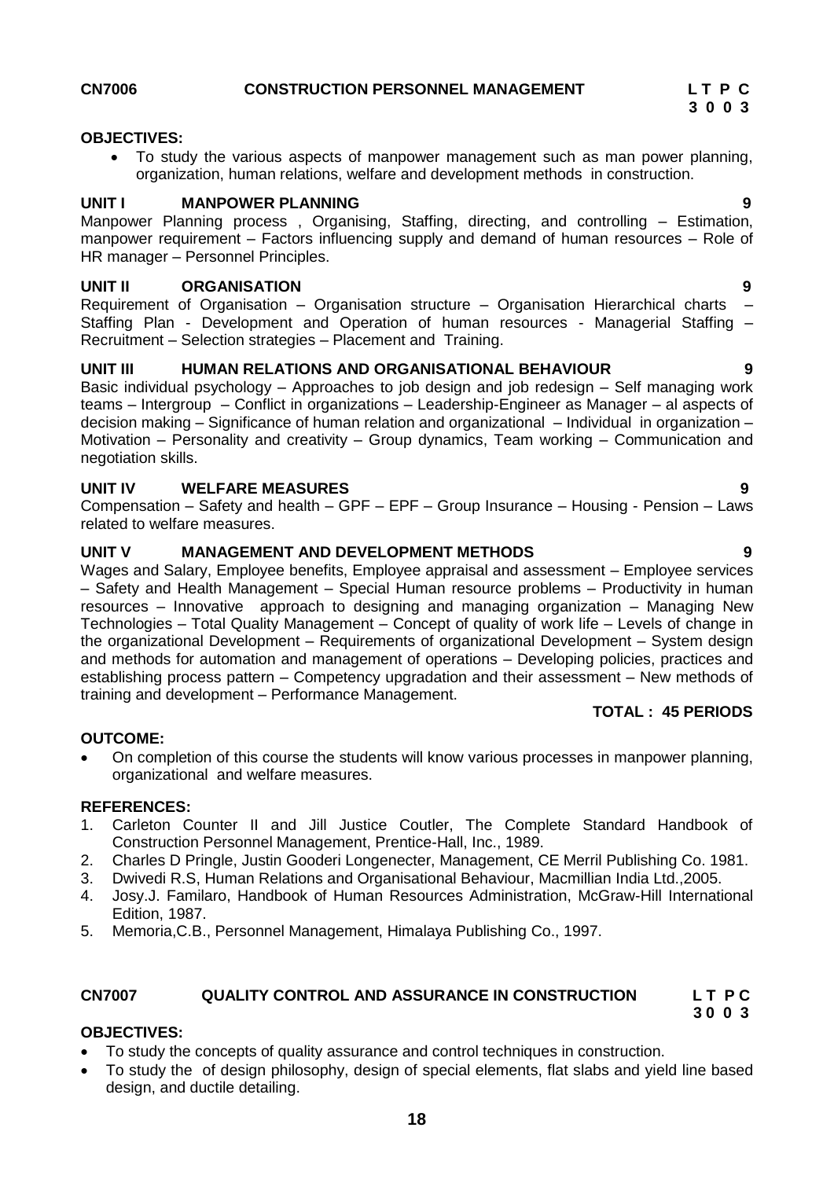### **OBJECTIVES:**

<span id="page-17-0"></span> To study the various aspects of manpower management such as man power planning, organization, human relations, welfare and development methods in construction.

### **UNIT I MANPOWER PLANNING 9**

Manpower Planning process , Organising, Staffing, directing, and controlling – Estimation, manpower requirement – Factors influencing supply and demand of human resources – Role of HR manager – Personnel Principles.

### **UNIT II ORGANISATION 9**

Requirement of Organisation – Organisation structure – Organisation Hierarchical charts – Staffing Plan - Development and Operation of human resources - Managerial Staffing – Recruitment – Selection strategies – Placement and Training.

### **UNIT III HUMAN RELATIONS AND ORGANISATIONAL BEHAVIOUR 9**

Basic individual psychology – Approaches to job design and job redesign – Self managing work teams – Intergroup – Conflict in organizations – Leadership-Engineer as Manager – al aspects of decision making – Significance of human relation and organizational – Individual in organization – Motivation – Personality and creativity – Group dynamics, Team working – Communication and negotiation skills.

### **UNIT IV WELFARE MEASURES 9**

Compensation – Safety and health – GPF – EPF – Group Insurance – Housing - Pension – Laws related to welfare measures.

### **UNIT V MANAGEMENT AND DEVELOPMENT METHODS 9**

Wages and Salary, Employee benefits, Employee appraisal and assessment – Employee services – Safety and Health Management – Special Human resource problems – Productivity in human resources – Innovative approach to designing and managing organization – Managing New Technologies – Total Quality Management – Concept of quality of work life – Levels of change in the organizational Development – Requirements of organizational Development – System design and methods for automation and management of operations – Developing policies, practices and establishing process pattern – Competency upgradation and their assessment – New methods of training and development – Performance Management.

### **TOTAL : 45 PERIODS**

### **OUTCOME:**

 On completion of this course the students will know various processes in manpower planning, organizational and welfare measures.

### **REFERENCES:**

- 1. Carleton Counter II and Jill Justice Coutler, The Complete Standard Handbook of Construction Personnel Management, Prentice-Hall, Inc., 1989.
- 2. Charles D Pringle, Justin Gooderi Longenecter, Management, CE Merril Publishing Co. 1981.
- 3. Dwivedi R.S, Human Relations and Organisational Behaviour, Macmillian India Ltd.,2005.
- 4. Josy.J. Familaro, Handbook of Human Resources Administration, McGraw-Hill International Edition, 1987.
- 5. Memoria,C.B., Personnel Management, Himalaya Publishing Co., 1997.

# <span id="page-17-1"></span>**CN7007 QUALITY CONTROL AND ASSURANCE IN CONSTRUCTION L T P C**

### **3 0 0 3**

### **OBJECTIVES:**

- To study the concepts of quality assurance and control techniques in construction.
- To study the of design philosophy, design of special elements, flat slabs and yield line based design, and ductile detailing.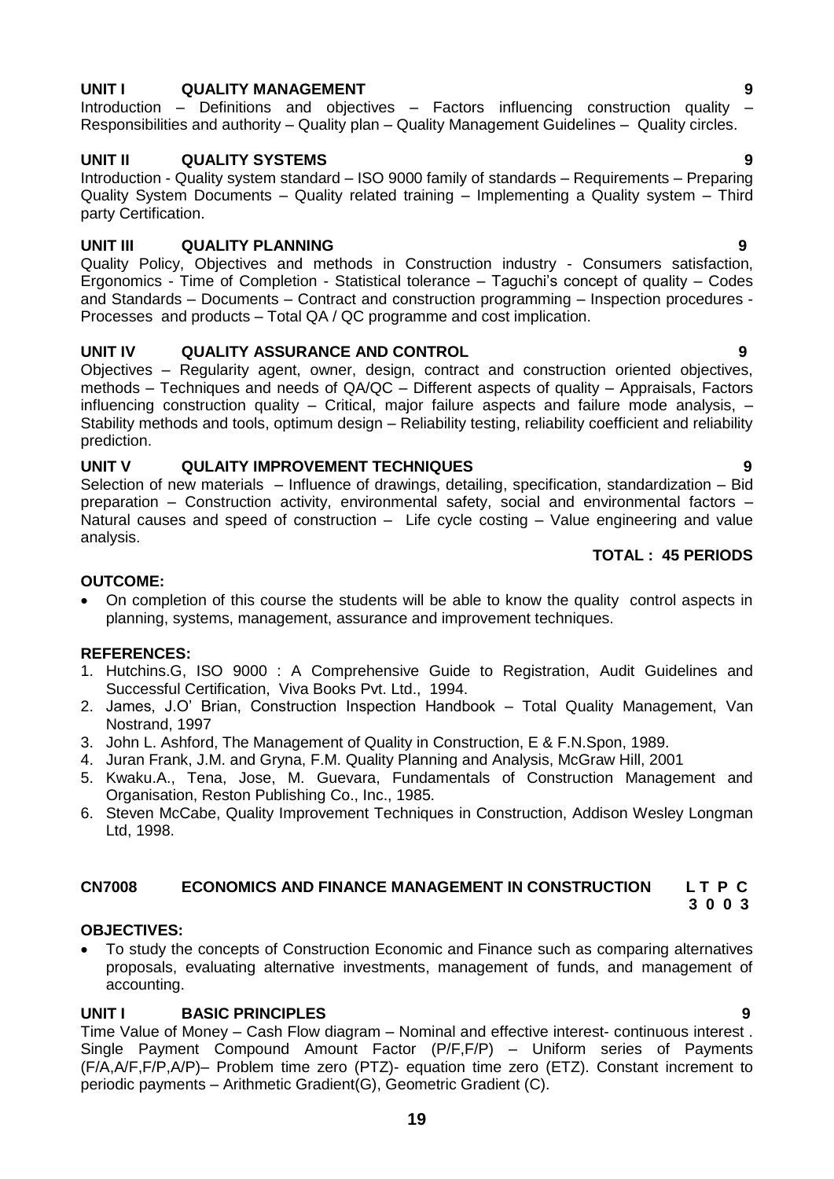### **19**

### **UNIT I QUALITY MANAGEMENT 9**

Introduction – Definitions and objectives – Factors influencing construction quality – Responsibilities and authority – Quality plan – Quality Management Guidelines – Quality circles.

### **UNIT II QUALITY SYSTEMS 9**

Introduction - Quality system standard – ISO 9000 family of standards – Requirements – Preparing Quality System Documents – Quality related training – Implementing a Quality system – Third party Certification.

### **UNIT III QUALITY PLANNING 9**

Quality Policy, Objectives and methods in Construction industry - Consumers satisfaction, Ergonomics - Time of Completion - Statistical tolerance – Taguchi's concept of quality – Codes and Standards – Documents – Contract and construction programming – Inspection procedures - Processes and products – Total QA / QC programme and cost implication.

### **UNIT IV QUALITY ASSURANCE AND CONTROL 9**

Objectives – Regularity agent, owner, design, contract and construction oriented objectives, methods – Techniques and needs of QA/QC – Different aspects of quality – Appraisals, Factors influencing construction quality – Critical, major failure aspects and failure mode analysis, – Stability methods and tools, optimum design – Reliability testing, reliability coefficient and reliability prediction.

### **UNIT V QULAITY IMPROVEMENT TECHNIQUES 9**

Selection of new materials – Influence of drawings, detailing, specification, standardization – Bid preparation – Construction activity, environmental safety, social and environmental factors – Natural causes and speed of construction – Life cycle costing – Value engineering and value analysis.

### **TOTAL : 45 PERIODS**

### **OUTCOME:**

 On completion of this course the students will be able to know the quality control aspects in planning, systems, management, assurance and improvement techniques.

### **REFERENCES:**

- 1. Hutchins.G, ISO 9000 : A Comprehensive Guide to Registration, Audit Guidelines and Successful Certification, Viva Books Pvt. Ltd., 1994.
- 2. James, J.O' Brian, Construction Inspection Handbook Total Quality Management, Van Nostrand, 1997
- 3. John L. Ashford, The Management of Quality in Construction, E & F.N.Spon, 1989.
- 4. Juran Frank, J.M. and Gryna, F.M. Quality Planning and Analysis, McGraw Hill, 2001
- 5. Kwaku.A., Tena, Jose, M. Guevara, Fundamentals of Construction Management and Organisation, Reston Publishing Co., Inc., 1985.
- 6. Steven McCabe, Quality Improvement Techniques in Construction, Addison Wesley Longman Ltd, 1998.

### <span id="page-18-0"></span>**CN7008 ECONOMICS AND FINANCE MANAGEMENT IN CONSTRUCTION L T P C 3 0 0 3**

### **OBJECTIVES:**

 To study the concepts of Construction Economic and Finance such as comparing alternatives proposals, evaluating alternative investments, management of funds, and management of accounting.

### **UNIT I BASIC PRINCIPLES 9**

Time Value of Money – Cash Flow diagram – Nominal and effective interest- continuous interest . Single Payment Compound Amount Factor (P/F,F/P) – Uniform series of Payments (F/A,A/F,F/P,A/P)– Problem time zero (PTZ)- equation time zero (ETZ). Constant increment to periodic payments – Arithmetic Gradient(G), Geometric Gradient (C).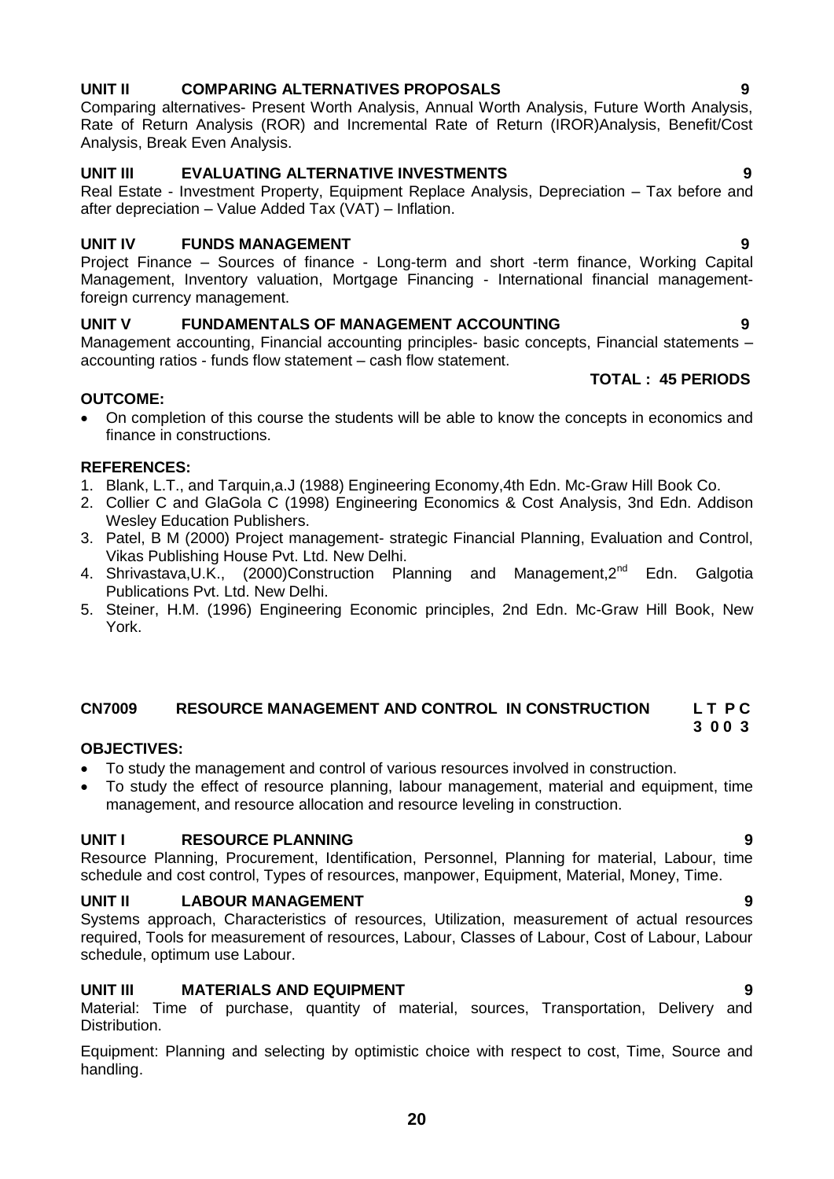### **UNIT II COMPARING ALTERNATIVES PROPOSALS 9**

Comparing alternatives- Present Worth Analysis, Annual Worth Analysis, Future Worth Analysis, Rate of Return Analysis (ROR) and Incremental Rate of Return (IROR)Analysis, Benefit/Cost Analysis, Break Even Analysis.

### **UNIT III EVALUATING ALTERNATIVE INVESTMENTS 9**

Real Estate - Investment Property, Equipment Replace Analysis, Depreciation – Tax before and after depreciation – Value Added Tax (VAT) – Inflation.

### **UNIT IV FUNDS MANAGEMENT 9**

Project Finance – Sources of finance - Long-term and short -term finance, Working Capital Management, Inventory valuation, Mortgage Financing - International financial managementforeign currency management.

### **UNIT V FUNDAMENTALS OF MANAGEMENT ACCOUNTING 9**

Management accounting, Financial accounting principles- basic concepts, Financial statements – accounting ratios - funds flow statement – cash flow statement.

### **TOTAL : 45 PERIODS**

### **OUTCOME:**

 On completion of this course the students will be able to know the concepts in economics and finance in constructions.

### **REFERENCES:**

- 1. Blank, L.T., and Tarquin,a.J (1988) Engineering Economy,4th Edn. Mc-Graw Hill Book Co.
- 2. Collier C and GlaGola C (1998) Engineering Economics & Cost Analysis, 3nd Edn. Addison Wesley Education Publishers.
- 3. Patel, B M (2000) Project management- strategic Financial Planning, Evaluation and Control, Vikas Publishing House Pvt. Ltd. New Delhi.
- 4. Shrivastava, U.K., (2000)Construction Planning and Management, 2<sup>nd</sup> Edn. Galgotia Publications Pvt. Ltd. New Delhi.
- 5. Steiner, H.M. (1996) Engineering Economic principles, 2nd Edn. Mc-Graw Hill Book, New York.

### **CN7009 RESOURCE MANAGEMENT AND CONTROL IN CONSTRUCTION L T P C**

### **OBJECTIVES:**

- To study the management and control of various resources involved in construction.
- To study the effect of resource planning, labour management, material and equipment, time management, and resource allocation and resource leveling in construction.

### **UNIT I RESOURCE PLANNING 9**

Resource Planning, Procurement, Identification, Personnel, Planning for material, Labour, time schedule and cost control, Types of resources, manpower, Equipment, Material, Money, Time.

### **UNIT II LABOUR MANAGEMENT 9**

Systems approach, Characteristics of resources, Utilization, measurement of actual resources required, Tools for measurement of resources, Labour, Classes of Labour, Cost of Labour, Labour schedule, optimum use Labour.

### **UNIT III MATERIALS AND EQUIPMENT 9**

Material: Time of purchase, quantity of material, sources, Transportation, Delivery and Distribution.

Equipment: Planning and selecting by optimistic choice with respect to cost, Time, Source and handling.

<span id="page-19-0"></span> **3 0 0 3**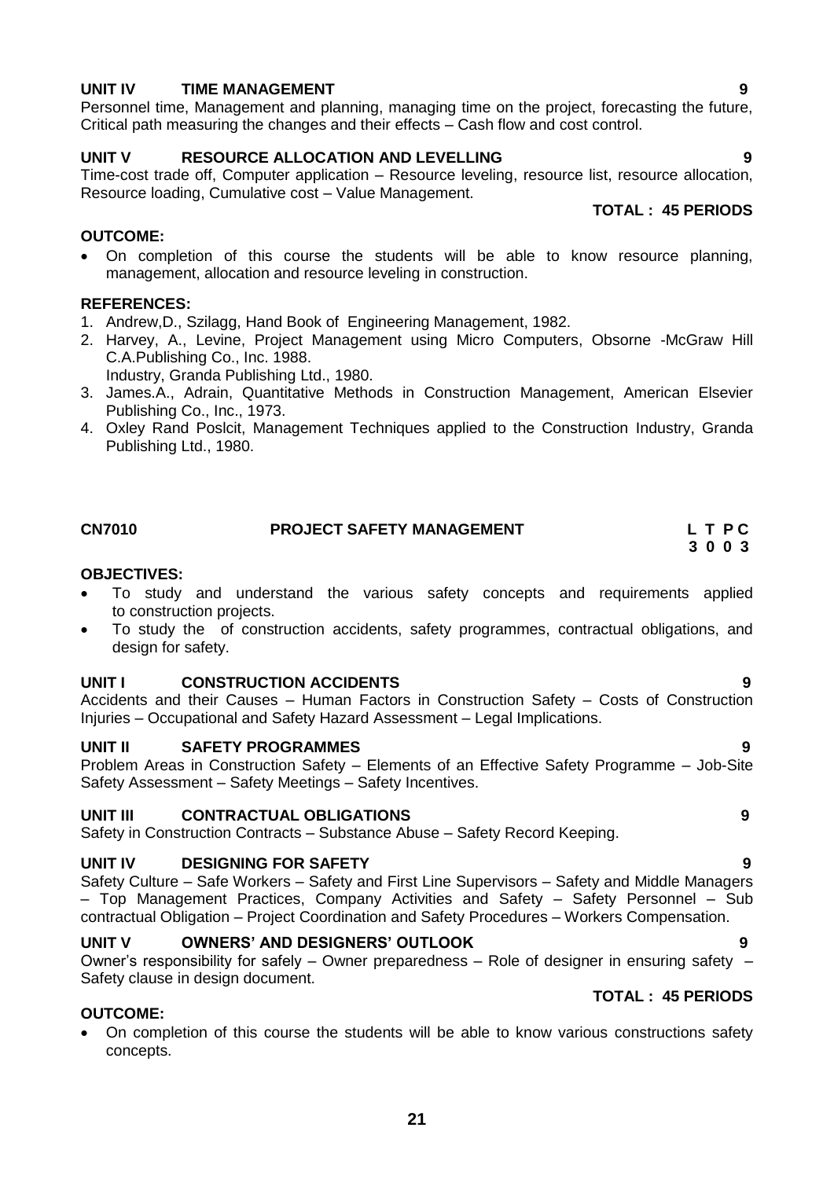### **UNIT IV TIME MANAGEMENT 9**

Personnel time, Management and planning, managing time on the project, forecasting the future, Critical path measuring the changes and their effects – Cash flow and cost control.

### **UNIT V RESOURCE ALLOCATION AND LEVELLING 9**

Time-cost trade off, Computer application – Resource leveling, resource list, resource allocation, Resource loading, Cumulative cost – Value Management. **TOTAL : 45 PERIODS**

### **OUTCOME:**

 On completion of this course the students will be able to know resource planning, management, allocation and resource leveling in construction.

### **REFERENCES:**

- 1. Andrew,D., Szilagg, Hand Book of Engineering Management, 1982.
- 2. Harvey, A., Levine, Project Management using Micro Computers, Obsorne -McGraw Hill C.A.Publishing Co., Inc. 1988. Industry, Granda Publishing Ltd., 1980.
- 3. James.A., Adrain, Quantitative Methods in Construction Management, American Elsevier Publishing Co., Inc., 1973.
- 4. Oxley Rand Poslcit, Management Techniques applied to the Construction Industry, Granda Publishing Ltd., 1980.

<span id="page-20-0"></span>

| <b>CN7010</b> | <b>PROJECT SAFETY MANAGEMENT</b> | LTPC |
|---------------|----------------------------------|------|
|               |                                  | 3003 |

### **OBJECTIVES:**

- To study and understand the various safety concepts and requirements applied to construction projects.
- To study the of construction accidents, safety programmes, contractual obligations, and design for safety.

### **UNIT I CONSTRUCTION ACCIDENTS 9**

Accidents and their Causes – Human Factors in Construction Safety – Costs of Construction Injuries – Occupational and Safety Hazard Assessment – Legal Implications.

### **UNIT II SAFETY PROGRAMMES** 9

Problem Areas in Construction Safety – Elements of an Effective Safety Programme – Job-Site Safety Assessment – Safety Meetings – Safety Incentives.

### **UNIT III CONTRACTUAL OBLIGATIONS 9**

Safety in Construction Contracts – Substance Abuse – Safety Record Keeping.

### **UNIT IV DESIGNING FOR SAFETY 9**

Safety Culture – Safe Workers – Safety and First Line Supervisors – Safety and Middle Managers – Top Management Practices, Company Activities and Safety – Safety Personnel – Sub contractual Obligation – Project Coordination and Safety Procedures – Workers Compensation.

### **UNIT V OWNERS' AND DESIGNERS' OUTLOOK 9**

Owner's responsibility for safely – Owner preparedness – Role of designer in ensuring safety – Safety clause in design document.

### **OUTCOME:**

 On completion of this course the students will be able to know various constructions safety concepts.

**TOTAL : 45 PERIODS**